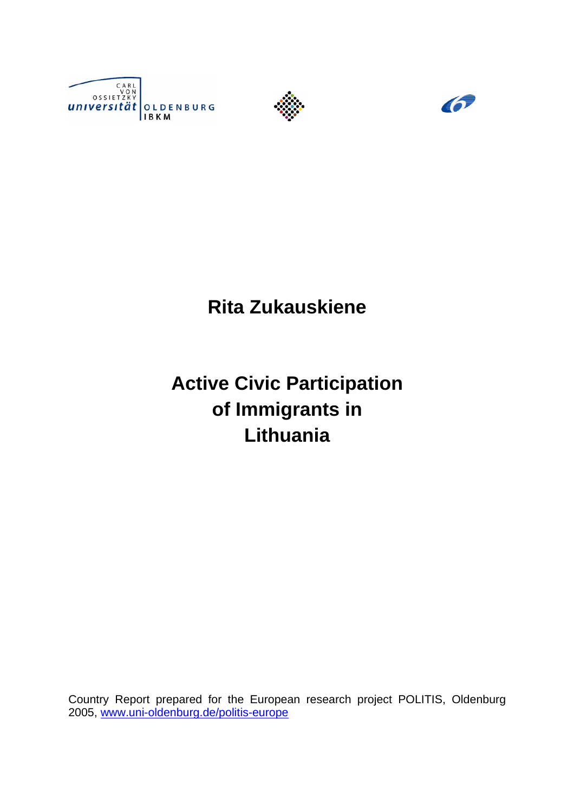





**Rita Zukauskiene** 

**Active Civic Participation of Immigrants in Lithuania** 

Country Report prepared for the European research project POLITIS, Oldenburg 2005, www.uni-oldenburg.de/politis-europe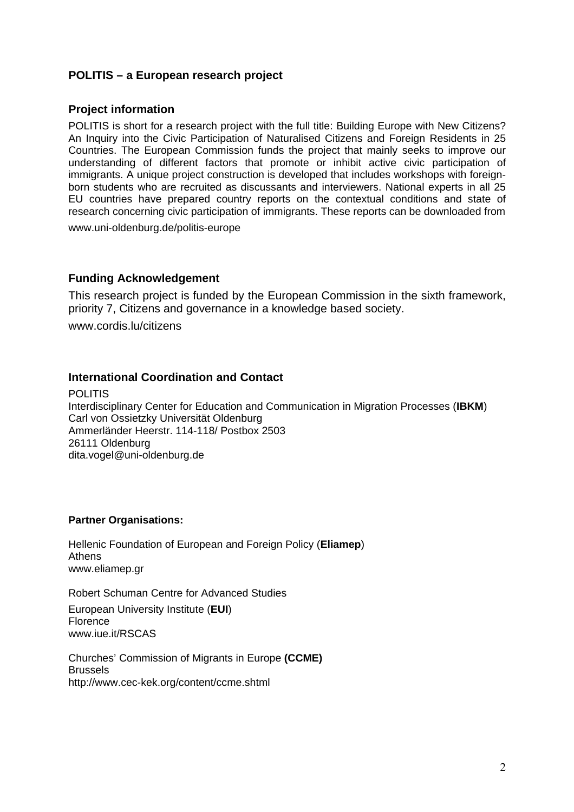# **POLITIS – a European research project**

### **Project information**

POLITIS is short for a research project with the full title: Building Europe with New Citizens? An Inquiry into the Civic Participation of Naturalised Citizens and Foreign Residents in 25 Countries. The European Commission funds the project that mainly seeks to improve our understanding of different factors that promote or inhibit active civic participation of immigrants. A unique project construction is developed that includes workshops with foreignborn students who are recruited as discussants and interviewers. National experts in all 25 EU countries have prepared country reports on the contextual conditions and state of research concerning civic participation of immigrants. These reports can be downloaded from

www.uni-oldenburg.de/politis-europe

### **Funding Acknowledgement**

This research project is funded by the European Commission in the sixth framework, priority 7, Citizens and governance in a knowledge based society. www.cordis.lu/citizens

### **International Coordination and Contact**

POLITIS Interdisciplinary Center for Education and Communication in Migration Processes (**IBKM**) Carl von Ossietzky Universität Oldenburg Ammerländer Heerstr. 114-118/ Postbox 2503 26111 Oldenburg dita.vogel@uni-oldenburg.de

### **Partner Organisations:**

Hellenic Foundation of European and Foreign Policy (**Eliamep**) Athens www.eliamep.gr

Robert Schuman Centre for Advanced Studies

European University Institute (**EUI**) Florence www.iue.it/RSCAS

Churches' Commission of Migrants in Europe **(CCME) Brussels** <http://www.cec-kek.org/content/ccme.shtml>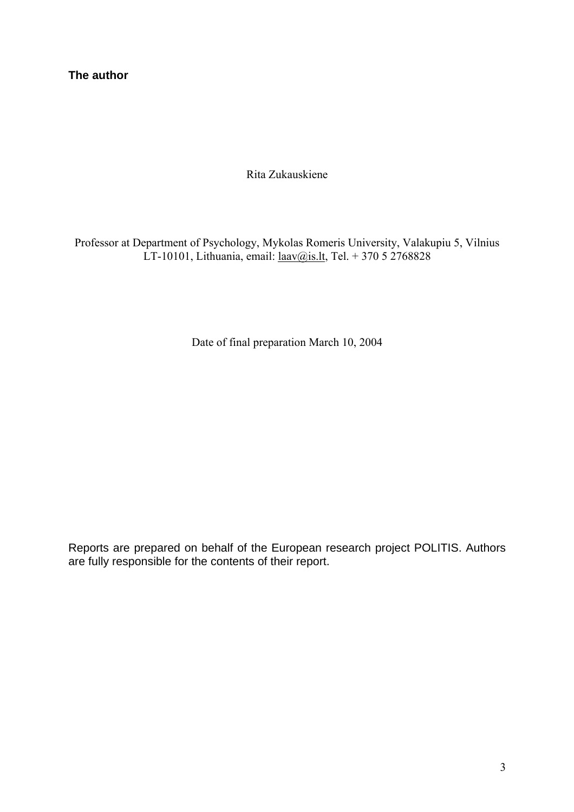**The author** 

Rita Zukauskiene

Professor at Department of Psychology, Mykolas Romeris University, Valakupiu 5, Vilnius LT-10101, Lithuania, email: laav@is.lt, Tel. + 370 5 2768828

Date of final preparation March 10, 2004

Reports are prepared on behalf of the European research project POLITIS. Authors are fully responsible for the contents of their report.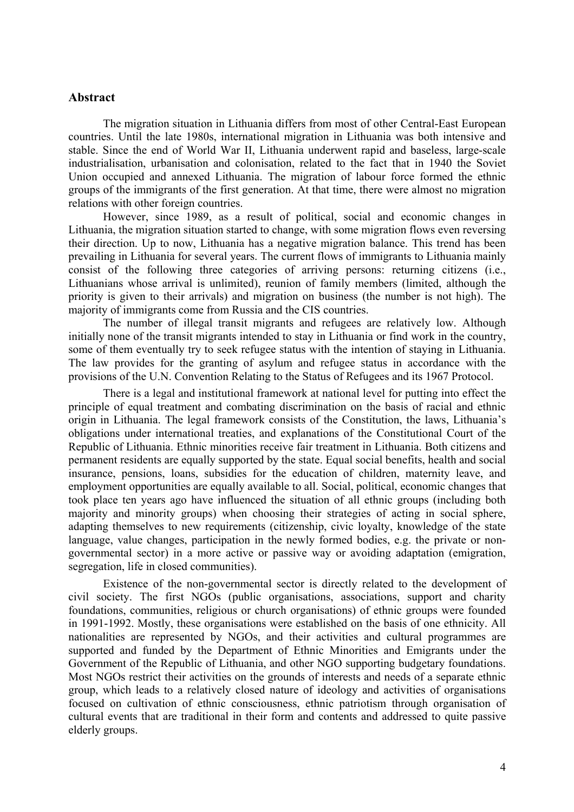#### **Abstract**

The migration situation in Lithuania differs from most of other Central-East European countries. Until the late 1980s, international migration in Lithuania was both intensive and stable. Since the end of World War II, Lithuania underwent rapid and baseless, large-scale industrialisation, urbanisation and colonisation, related to the fact that in 1940 the Soviet Union occupied and annexed Lithuania. The migration of labour force formed the ethnic groups of the immigrants of the first generation. At that time, there were almost no migration relations with other foreign countries.

However, since 1989, as a result of political, social and economic changes in Lithuania, the migration situation started to change, with some migration flows even reversing their direction. Up to now, Lithuania has a negative migration balance. This trend has been prevailing in Lithuania for several years. The current flows of immigrants to Lithuania mainly consist of the following three categories of arriving persons: returning citizens (i.e., Lithuanians whose arrival is unlimited), reunion of family members (limited, although the priority is given to their arrivals) and migration on business (the number is not high). The majority of immigrants come from Russia and the CIS countries.

The number of illegal transit migrants and refugees are relatively low. Although initially none of the transit migrants intended to stay in Lithuania or find work in the country, some of them eventually try to seek refugee status with the intention of staying in Lithuania. The law provides for the granting of asylum and refugee status in accordance with the provisions of the U.N. Convention Relating to the Status of Refugees and its 1967 Protocol.

There is a legal and institutional framework at national level for putting into effect the principle of equal treatment and combating discrimination on the basis of racial and ethnic origin in Lithuania. The legal framework consists of the Constitution, the laws, Lithuania's obligations under international treaties, and explanations of the Constitutional Court of the Republic of Lithuania. Ethnic minorities receive fair treatment in Lithuania. Both citizens and permanent residents are equally supported by the state. Equal social benefits, health and social insurance, pensions, loans, subsidies for the education of children, maternity leave, and employment opportunities are equally available to all. Social, political, economic changes that took place ten years ago have influenced the situation of all ethnic groups (including both majority and minority groups) when choosing their strategies of acting in social sphere, adapting themselves to new requirements (citizenship, civic loyalty, knowledge of the state language, value changes, participation in the newly formed bodies, e.g. the private or nongovernmental sector) in a more active or passive way or avoiding adaptation (emigration, segregation, life in closed communities).

Existence of the non-governmental sector is directly related to the development of civil society. The first NGOs (public organisations, associations, support and charity foundations, communities, religious or church organisations) of ethnic groups were founded in 1991-1992. Mostly, these organisations were established on the basis of one ethnicity. All nationalities are represented by NGOs, and their activities and cultural programmes are supported and funded by the Department of Ethnic Minorities and Emigrants under the Government of the Republic of Lithuania, and other NGO supporting budgetary foundations. Most NGOs restrict their activities on the grounds of interests and needs of a separate ethnic group, which leads to a relatively closed nature of ideology and activities of organisations focused on cultivation of ethnic consciousness, ethnic patriotism through organisation of cultural events that are traditional in their form and contents and addressed to quite passive elderly groups.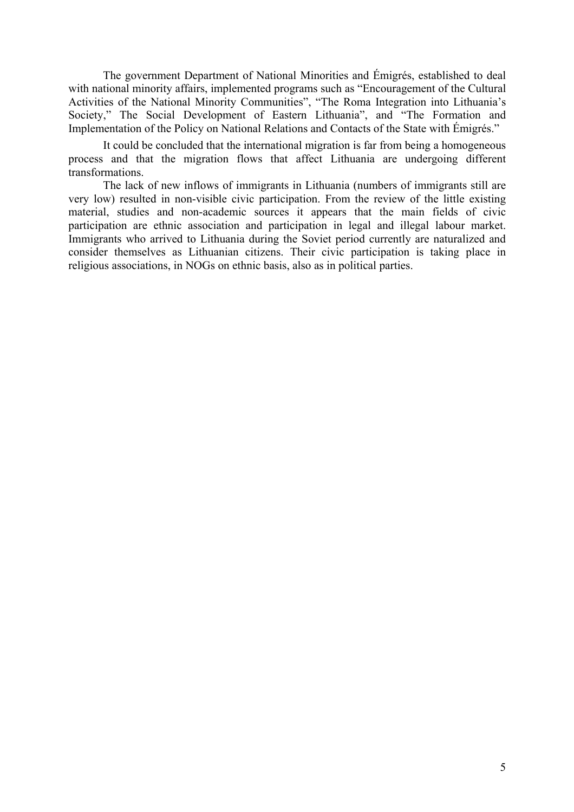The government Department of National Minorities and Émigrés, established to deal with national minority affairs, implemented programs such as "Encouragement of the Cultural Activities of the National Minority Communities", "The Roma Integration into Lithuania's Society," The Social Development of Eastern Lithuania", and "The Formation and Implementation of the Policy on National Relations and Contacts of the State with Émigrés."

It could be concluded that the international migration is far from being a homogeneous process and that the migration flows that affect Lithuania are undergoing different transformations.

The lack of new inflows of immigrants in Lithuania (numbers of immigrants still are very low) resulted in non-visible civic participation. From the review of the little existing material, studies and non-academic sources it appears that the main fields of civic participation are ethnic association and participation in legal and illegal labour market. Immigrants who arrived to Lithuania during the Soviet period currently are naturalized and consider themselves as Lithuanian citizens. Their civic participation is taking place in religious associations, in NOGs on ethnic basis, also as in political parties.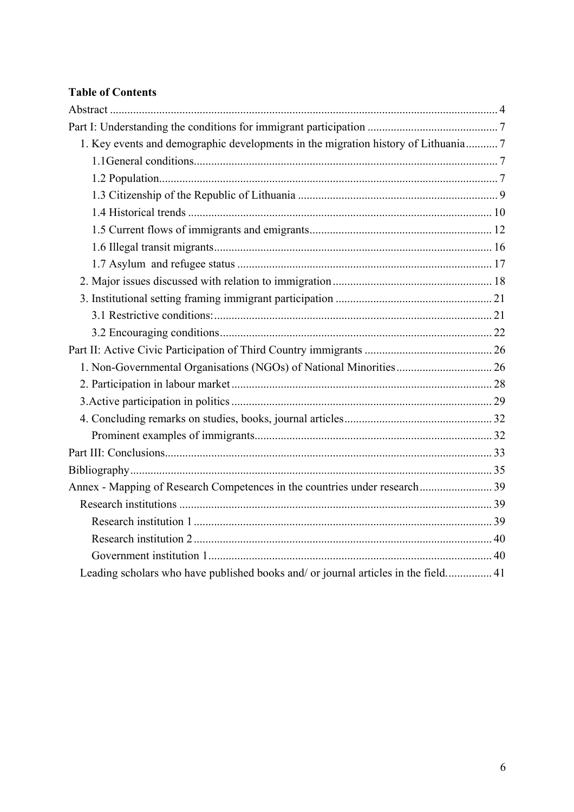# **Table of Contents**

| 1. Key events and demographic developments in the migration history of Lithuania 7 |  |
|------------------------------------------------------------------------------------|--|
|                                                                                    |  |
|                                                                                    |  |
|                                                                                    |  |
|                                                                                    |  |
|                                                                                    |  |
|                                                                                    |  |
|                                                                                    |  |
|                                                                                    |  |
|                                                                                    |  |
|                                                                                    |  |
|                                                                                    |  |
|                                                                                    |  |
|                                                                                    |  |
|                                                                                    |  |
|                                                                                    |  |
|                                                                                    |  |
|                                                                                    |  |
|                                                                                    |  |
|                                                                                    |  |
|                                                                                    |  |
|                                                                                    |  |
|                                                                                    |  |
|                                                                                    |  |
|                                                                                    |  |
| Leading scholars who have published books and/ or journal articles in the field 41 |  |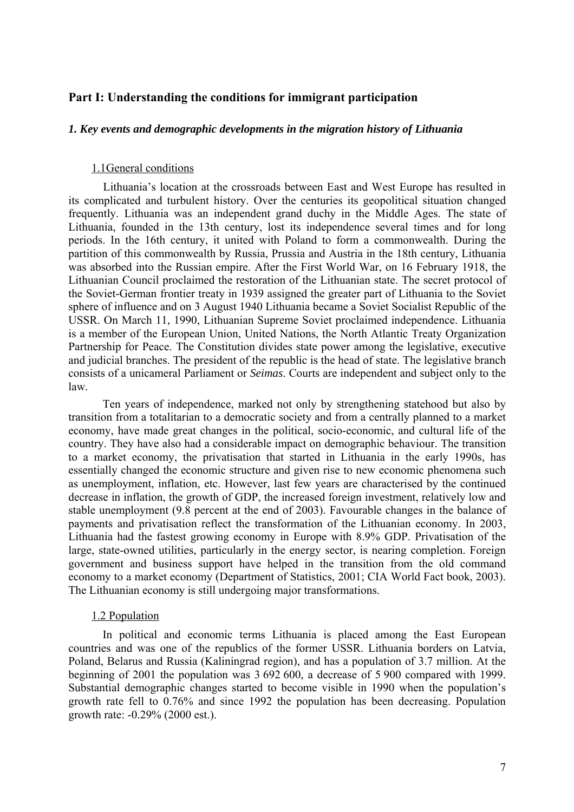### **Part I: Understanding the conditions for immigrant participation**

#### *1. Key events and demographic developments in the migration history of Lithuania*

#### 1.1General conditions

Lithuania's location at the crossroads between East and West Europe has resulted in its complicated and turbulent history. Over the centuries its geopolitical situation changed frequently. Lithuania was an independent grand duchy in the Middle Ages. The state of Lithuania, founded in the 13th century, lost its independence several times and for long periods. In the 16th century, it united with Poland to form a commonwealth. During the partition of this commonwealth by Russia, Prussia and Austria in the 18th century, Lithuania was absorbed into the Russian empire. After the First World War, on 16 February 1918, the Lithuanian Council proclaimed the restoration of the Lithuanian state. The secret protocol of the Soviet-German frontier treaty in 1939 assigned the greater part of Lithuania to the Soviet sphere of influence and on 3 August 1940 Lithuania became a Soviet Socialist Republic of the USSR. On March 11, 1990, Lithuanian Supreme Soviet proclaimed independence. Lithuania is a member of the European Union, United Nations, the North Atlantic Treaty Organization Partnership for Peace. The Constitution divides state power among the legislative, executive and judicial branches. The president of the republic is the head of state. The legislative branch consists of a unicameral Parliament or *Seimas*. Courts are independent and subject only to the law.

Ten years of independence, marked not only by strengthening statehood but also by transition from a totalitarian to a democratic society and from a centrally planned to a market economy, have made great changes in the political, socio-economic, and cultural life of the country. They have also had a considerable impact on demographic behaviour. The transition to a market economy, the privatisation that started in Lithuania in the early 1990s, has essentially changed the economic structure and given rise to new economic phenomena such as unemployment, inflation, etc. However, last few years are characterised by the continued decrease in inflation, the growth of GDP, the increased foreign investment, relatively low and stable unemployment (9.8 percent at the end of 2003). Favourable changes in the balance of payments and privatisation reflect the transformation of the Lithuanian economy. In 2003, Lithuania had the fastest growing economy in Europe with 8.9% GDP. Privatisation of the large, state-owned utilities, particularly in the energy sector, is nearing completion. Foreign government and business support have helped in the transition from the old command economy to a market economy (Department of Statistics, 2001; CIA World Fact book, 2003). The Lithuanian economy is still undergoing major transformations.

#### 1.2 Population

In political and economic terms Lithuania is placed among the East European countries and was one of the republics of the former USSR. Lithuania borders on Latvia, Poland, Belarus and Russia (Kaliningrad region), and has a population of 3.7 million. At the beginning of 2001 the population was 3 692 600, a decrease of 5 900 compared with 1999. Substantial demographic changes started to become visible in 1990 when the population's growth rate fell to 0.76% and since 1992 the population has been decreasing. Population growth rate: -0.29% (2000 est.).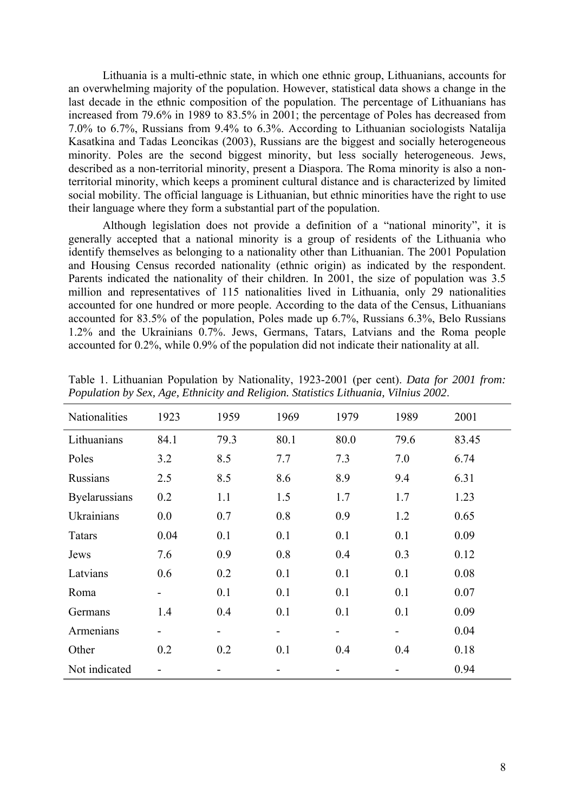Lithuania is a multi-ethnic state, in which one ethnic group, Lithuanians, accounts for an overwhelming majority of the population. However, statistical data shows a change in the last decade in the ethnic composition of the population. The percentage of Lithuanians has increased from 79.6% in 1989 to 83.5% in 2001; the percentage of Poles has decreased from 7.0% to 6.7%, Russians from 9.4% to 6.3%. According to Lithuanian sociologists Natalija Kasatkina and Tadas Leoncikas (2003), Russians are the biggest and socially heterogeneous minority. Poles are the second biggest minority, but less socially heterogeneous. Jews, described as a non-territorial minority, present a Diaspora. The Roma minority is also a nonterritorial minority, which keeps a prominent cultural distance and is characterized by limited social mobility. The official language is Lithuanian, but ethnic minorities have the right to use their language where they form a substantial part of the population.

Although legislation does not provide a definition of a "national minority", it is generally accepted that a national minority is a group of residents of the Lithuania who identify themselves as belonging to a nationality other than Lithuanian. The 2001 Population and Housing Census recorded nationality (ethnic origin) as indicated by the respondent. Parents indicated the nationality of their children. In 2001, the size of population was 3.5 million and representatives of 115 nationalities lived in Lithuania, only 29 nationalities accounted for one hundred or more people. According to the data of the Census, Lithuanians accounted for 83.5% of the population, Poles made up 6.7%, Russians 6.3%, Belo Russians 1.2% and the Ukrainians 0.7%. Jews, Germans, Tatars, Latvians and the Roma people accounted for 0.2%, while 0.9% of the population did not indicate their nationality at all.

| Nationalities   | 1923                     | 1959 | 1969                     | 1979 | 1989 | 2001  |
|-----------------|--------------------------|------|--------------------------|------|------|-------|
| Lithuanians     | 84.1                     | 79.3 | 80.1                     | 80.0 | 79.6 | 83.45 |
| Poles           | 3.2                      | 8.5  | 7.7                      | 7.3  | 7.0  | 6.74  |
| <b>Russians</b> | 2.5                      | 8.5  | 8.6                      | 8.9  | 9.4  | 6.31  |
| Byelarussians   | 0.2                      | 1.1  | 1.5                      | 1.7  | 1.7  | 1.23  |
| Ukrainians      | 0.0                      | 0.7  | 0.8                      | 0.9  | 1.2  | 0.65  |
| <b>Tatars</b>   | 0.04                     | 0.1  | 0.1                      | 0.1  | 0.1  | 0.09  |
| Jews            | 7.6                      | 0.9  | 0.8                      | 0.4  | 0.3  | 0.12  |
| Latvians        | 0.6                      | 0.2  | 0.1                      | 0.1  | 0.1  | 0.08  |
| Roma            |                          | 0.1  | 0.1                      | 0.1  | 0.1  | 0.07  |
| Germans         | 1.4                      | 0.4  | 0.1                      | 0.1  | 0.1  | 0.09  |
| Armenians       | $\overline{\phantom{a}}$ | -    | $\overline{\phantom{0}}$ | -    | -    | 0.04  |
| Other           | 0.2                      | 0.2  | 0.1                      | 0.4  | 0.4  | 0.18  |
| Not indicated   |                          |      |                          |      |      | 0.94  |

Table 1. Lithuanian Population by Nationality, 1923-2001 (per cent). *Data for 2001 from: Population by Sex, Age, Ethnicity and Religion. Statistics Lithuania, Vilnius 2002*.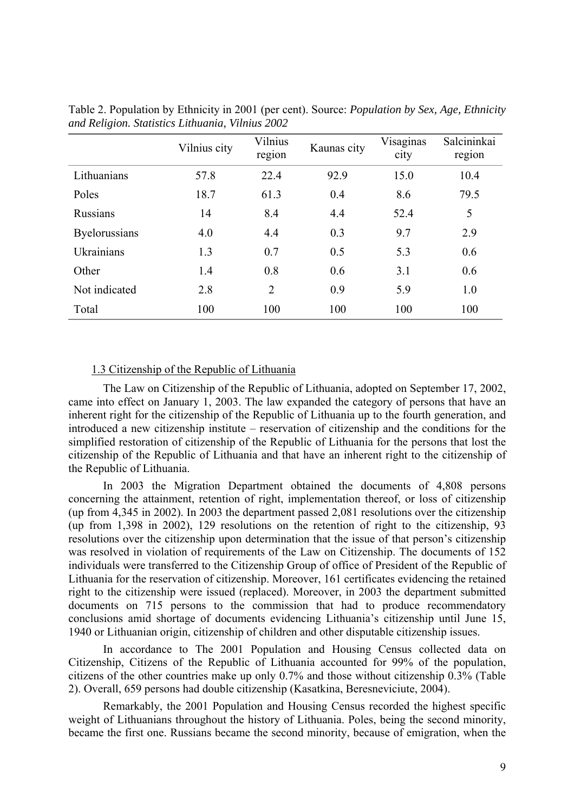|                      | Vilnius city | Vilnius<br>region | Kaunas city | Visaginas<br>city | Salcininkai<br>region |
|----------------------|--------------|-------------------|-------------|-------------------|-----------------------|
| Lithuanians          | 57.8         | 22.4              | 92.9        | 15.0              | 10.4                  |
| Poles                | 18.7         | 61.3              | 0.4         | 8.6               | 79.5                  |
| <b>Russians</b>      | 14           | 8.4               | 4.4         | 52.4              | 5                     |
| <b>Byelorussians</b> | 4.0          | 4.4               | 0.3         | 9.7               | 2.9                   |
| Ukrainians           | 1.3          | 0.7               | 0.5         | 5.3               | 0.6                   |
| Other                | 1.4          | 0.8               | 0.6         | 3.1               | 0.6                   |
| Not indicated        | 2.8          | 2                 | 0.9         | 5.9               | 1.0                   |
| Total                | 100          | 100               | 100         | 100               | 100                   |

Table 2. Population by Ethnicity in 2001 (per cent). Source: *Population by Sex, Age, Ethnicity and Religion. Statistics Lithuania, Vilnius 2002* 

### 1.3 Citizenship of the Republic of Lithuania

The Law on Citizenship of the Republic of Lithuania, adopted on September 17, 2002, came into effect on January 1, 2003. The law expanded the category of persons that have an inherent right for the citizenship of the Republic of Lithuania up to the fourth generation, and introduced a new citizenship institute – reservation of citizenship and the conditions for the simplified restoration of citizenship of the Republic of Lithuania for the persons that lost the citizenship of the Republic of Lithuania and that have an inherent right to the citizenship of the Republic of Lithuania.

In 2003 the Migration Department obtained the documents of 4,808 persons concerning the attainment, retention of right, implementation thereof, or loss of citizenship (up from 4,345 in 2002). In 2003 the department passed 2,081 resolutions over the citizenship (up from 1,398 in 2002), 129 resolutions on the retention of right to the citizenship, 93 resolutions over the citizenship upon determination that the issue of that person's citizenship was resolved in violation of requirements of the Law on Citizenship. The documents of 152 individuals were transferred to the Citizenship Group of office of President of the Republic of Lithuania for the reservation of citizenship. Moreover, 161 certificates evidencing the retained right to the citizenship were issued (replaced). Moreover, in 2003 the department submitted documents on 715 persons to the commission that had to produce recommendatory conclusions amid shortage of documents evidencing Lithuania's citizenship until June 15, 1940 or Lithuanian origin, citizenship of children and other disputable citizenship issues.

In accordance to The 2001 Population and Housing Census collected data on Citizenship, Citizens of the Republic of Lithuania accounted for 99% of the population, citizens of the other countries make up only 0.7% and those without citizenship 0.3% (Table 2). Overall, 659 persons had double citizenship (Kasatkina, Beresneviciute, 2004).

Remarkably, the 2001 Population and Housing Census recorded the highest specific weight of Lithuanians throughout the history of Lithuania. Poles, being the second minority, became the first one. Russians became the second minority, because of emigration, when the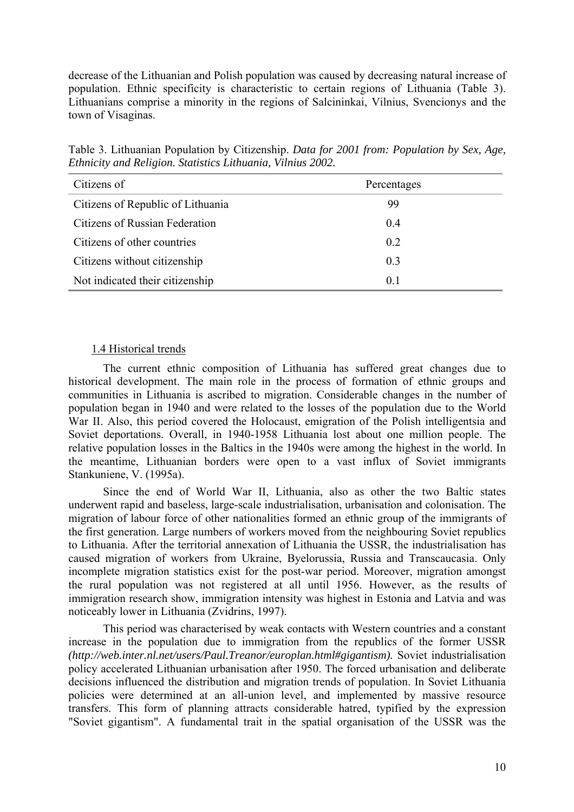decrease of the Lithuanian and Polish population was caused by decreasing natural increase of population. Ethnic specificity is characteristic to certain regions of Lithuania (Table 3). Lithuanians comprise a minority in the regions of Salcininkai, Vilnius, Svencionys and the town of Visaginas.

Table 3. Lithuanian Population by Citizenship. *Data for 2001 from: Population by Sex, Age, Ethnicity and Religion. Statistics Lithuania, Vilnius 2002.*

| Citizens of                       | Percentages    |
|-----------------------------------|----------------|
| Citizens of Republic of Lithuania | 99             |
| Citizens of Russian Federation    | 0.4            |
| Citizens of other countries       | 0.2            |
| Citizens without citizenship      | 0 <sup>3</sup> |
| Not indicated their citizenship   | 0.1            |

### 1.4 Historical trends

The current ethnic composition of Lithuania has suffered great changes due to historical development. The main role in the process of formation of ethnic groups and communities in Lithuania is ascribed to migration. Considerable changes in the number of population began in 1940 and were related to the losses of the population due to the World War II. Also, this period covered the Holocaust, emigration of the Polish intelligentsia and Soviet deportations. Overall, in 1940-1958 Lithuania lost about one million people. The relative population losses in the Baltics in the 1940s were among the highest in the world. In the meantime, Lithuanian borders were open to a vast influx of Soviet immigrants Stankuniene, V. (1995a).

Since the end of World War II, Lithuania, also as other the two Baltic states underwent rapid and baseless, large-scale industrialisation, urbanisation and colonisation. The migration of labour force of other nationalities formed an ethnic group of the immigrants of the first generation. Large numbers of workers moved from the neighbouring Soviet republics to Lithuania. After the territorial annexation of Lithuania the USSR, the industrialisation has caused migration of workers from Ukraine, Byelorussia, Russia and Transcaucasia. Only incomplete migration statistics exist for the post-war period. Moreover, migration amongst the rural population was not registered at all until 1956. However, as the results of immigration research show, immigration intensity was highest in Estonia and Latvia and was noticeably lower in Lithuania (Zvidrins, 1997).

This period was characterised by weak contacts with Western countries and a constant increase in the population due to immigration from the republics of the former USSR *(<http://web.inter.nl.net/users/Paul.Treanor/europlan.html#gigantism>).* Soviet industrialisation policy accelerated Lithuanian urbanisation after 1950. The forced urbanisation and deliberate decisions influenced the distribution and migration trends of population. In Soviet Lithuania policies were determined at an all-union level, and implemented by massive resource transfers. This form of planning attracts considerable hatred, typified by the expression "Soviet gigantism". A fundamental trait in the spatial organisation of the USSR was the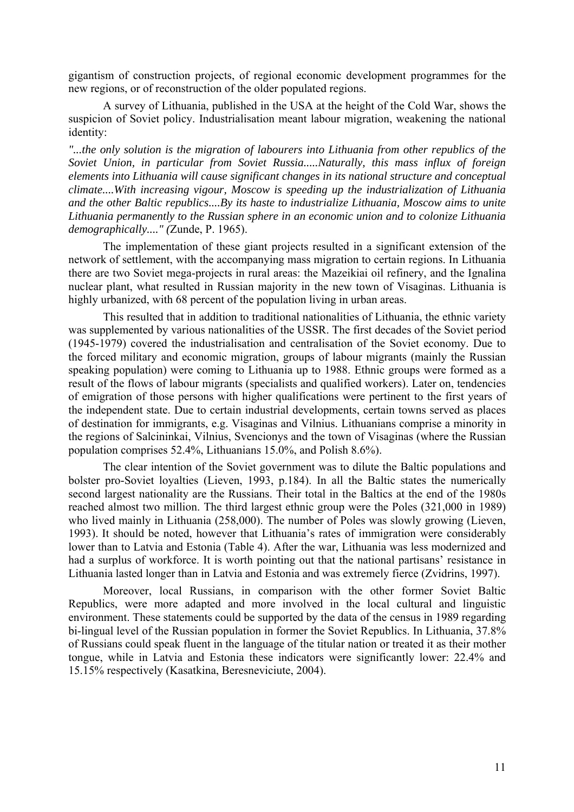gigantism of construction projects, of regional economic development programmes for the new regions, or of reconstruction of the older populated regions.

A survey of Lithuania, published in the USA at the height of the Cold War, shows the suspicion of Soviet policy. Industrialisation meant labour migration, weakening the national identity:

*"...the only solution is the migration of labourers into Lithuania from other republics of the Soviet Union, in particular from Soviet Russia.....Naturally, this mass influx of foreign elements into Lithuania will cause significant changes in its national structure and conceptual climate....With increasing vigour, Moscow is speeding up the industrialization of Lithuania and the other Baltic republics....By its haste to industrialize Lithuania, Moscow aims to unite Lithuania permanently to the Russian sphere in an economic union and to colonize Lithuania demographically...." (*Zunde, P. 1965).

The implementation of these giant projects resulted in a significant extension of the network of settlement, with the accompanying mass migration to certain regions. In Lithuania there are two Soviet mega-projects in rural areas: the Mazeikiai oil refinery, and the Ignalina nuclear plant, what resulted in Russian majority in the new town of Visaginas. Lithuania is highly urbanized, with 68 percent of the population living in urban areas.

This resulted that in addition to traditional nationalities of Lithuania, the ethnic variety was supplemented by various nationalities of the USSR. The first decades of the Soviet period (1945-1979) covered the industrialisation and centralisation of the Soviet economy. Due to the forced military and economic migration, groups of labour migrants (mainly the Russian speaking population) were coming to Lithuania up to 1988. Ethnic groups were formed as a result of the flows of labour migrants (specialists and qualified workers). Later on, tendencies of emigration of those persons with higher qualifications were pertinent to the first years of the independent state. Due to certain industrial developments, certain towns served as places of destination for immigrants, e.g. Visaginas and Vilnius. Lithuanians comprise a minority in the regions of Salcininkai, Vilnius, Svencionys and the town of Visaginas (where the Russian population comprises 52.4%, Lithuanians 15.0%, and Polish 8.6%).

The clear intention of the Soviet government was to dilute the Baltic populations and bolster pro-Soviet loyalties (Lieven, 1993, p.184). In all the Baltic states the numerically second largest nationality are the Russians. Their total in the Baltics at the end of the 1980s reached almost two million. The third largest ethnic group were the Poles (321,000 in 1989) who lived mainly in Lithuania (258,000). The number of Poles was slowly growing (Lieven, 1993). It should be noted, however that Lithuania's rates of immigration were considerably lower than to Latvia and Estonia (Table 4). After the war, Lithuania was less modernized and had a surplus of workforce. It is worth pointing out that the national partisans' resistance in Lithuania lasted longer than in Latvia and Estonia and was extremely fierce (Zvidrins, 1997).

Moreover, local Russians, in comparison with the other former Soviet Baltic Republics, were more adapted and more involved in the local cultural and linguistic environment. These statements could be supported by the data of the census in 1989 regarding bi-lingual level of the Russian population in former the Soviet Republics. In Lithuania, 37.8% of Russians could speak fluent in the language of the titular nation or treated it as their mother tongue, while in Latvia and Estonia these indicators were significantly lower: 22.4% and 15.15% respectively (Kasatkina, Beresneviciute, 2004).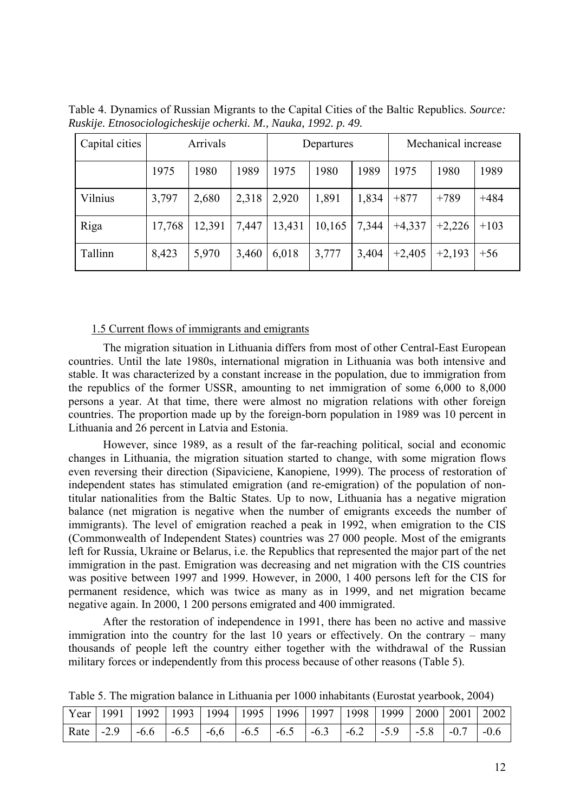| Capital cities | Arrivals |        |       | Departures |        |       | Mechanical increase |          |        |
|----------------|----------|--------|-------|------------|--------|-------|---------------------|----------|--------|
|                | 1975     | 1980   | 1989  | 1975       | 1980   | 1989  | 1975                | 1980     | 1989   |
| Vilnius        | 3,797    | 2,680  | 2,318 | 2,920      | 1,891  | 1,834 | $+877$              | $+789$   | $+484$ |
| Riga           | 17,768   | 12,391 | 7,447 | 13,431     | 10,165 | 7,344 | $+4,337$            | $+2,226$ | $+103$ |
| Tallinn        | 8,423    | 5,970  | 3,460 | 6,018      | 3,777  | 3,404 | $+2,405$            | $+2,193$ | $+56$  |

Table 4. Dynamics of Russian Migrants to the Capital Cities of the Baltic Republics. *Source: Ruskije. Etnosociologicheskije ocherki. M., Nauka, 1992. p. 49.* 

#### 1.5 Current flows of immigrants and emigrants

The migration situation in Lithuania differs from most of other Central-East European countries. Until the late 1980s, international migration in Lithuania was both intensive and stable. It was characterized by a constant increase in the population, due to immigration from the republics of the former USSR, amounting to net immigration of some 6,000 to 8,000 persons a year. At that time, there were almost no migration relations with other foreign countries. The proportion made up by the foreign-born population in 1989 was 10 percent in Lithuania and 26 percent in Latvia and Estonia.

However, since 1989, as a result of the far-reaching political, social and economic changes in Lithuania, the migration situation started to change, with some migration flows even reversing their direction (Sipaviciene, Kanopiene, 1999). The process of restoration of independent states has stimulated emigration (and re-emigration) of the population of nontitular nationalities from the Baltic States. Up to now, Lithuania has a negative migration balance (net migration is negative when the number of emigrants exceeds the number of immigrants). The level of emigration reached a peak in 1992, when emigration to the CIS (Commonwealth of Independent States) countries was 27 000 people. Most of the emigrants left for Russia, Ukraine or Belarus, i.e. the Republics that represented the major part of the net immigration in the past. Emigration was decreasing and net migration with the CIS countries was positive between 1997 and 1999. However, in 2000, 1 400 persons left for the CIS for permanent residence, which was twice as many as in 1999, and net migration became negative again. In 2000, 1 200 persons emigrated and 400 immigrated.

After the restoration of independence in 1991, there has been no active and massive immigration into the country for the last 10 years or effectively. On the contrary – many thousands of people left the country either together with the withdrawal of the Russian military forces or independently from this process because of other reasons (Table 5).

| Year   1991   1992   1993   1994   1995   1996   1997   1998   1999   2000   2001   2002 |  |  |  |  |  |  |
|------------------------------------------------------------------------------------------|--|--|--|--|--|--|
|                                                                                          |  |  |  |  |  |  |

Table 5. The migration balance in Lithuania per 1000 inhabitants (Eurostat yearbook, 2004)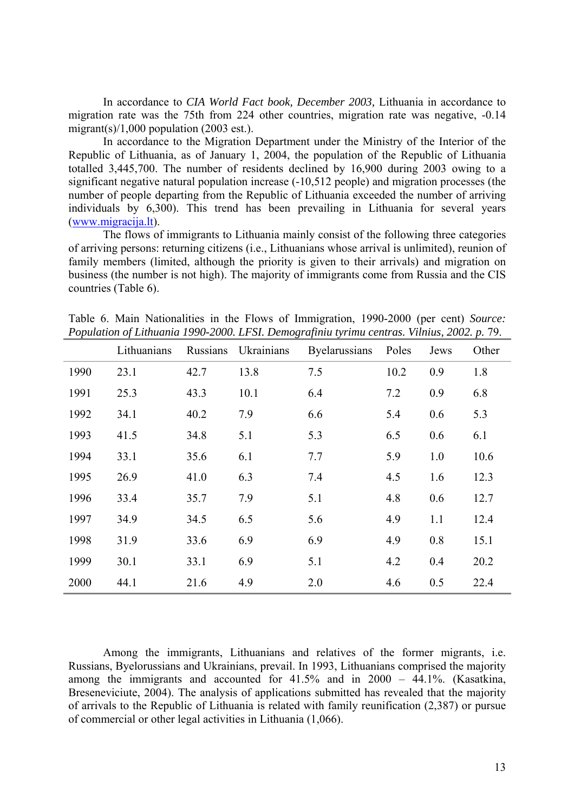In accordance to *CIA World Fact book, December 2003,* Lithuania in accordance to migration rate was the 75th from 224 other countries, migration rate was negative, -0.14 migrant(s)/1,000 population (2003 est.).

In accordance to the Migration Department under the Ministry of the Interior of the Republic of Lithuania, as of January 1, 2004, the population of the Republic of Lithuania totalled 3,445,700. The number of residents declined by 16,900 during 2003 owing to a significant negative natural population increase (-10,512 people) and migration processes (the number of people departing from the Republic of Lithuania exceeded the number of arriving individuals by 6,300). This trend has been prevailing in Lithuania for several years (www.migracija.lt).

The flows of immigrants to Lithuania mainly consist of the following three categories of arriving persons: returning citizens (i.e., Lithuanians whose arrival is unlimited), reunion of family members (limited, although the priority is given to their arrivals) and migration on business (the number is not high). The majority of immigrants come from Russia and the CIS countries (Table 6).

Table 6. Main Nationalities in the Flows of Immigration, 1990-2000 (per cent) *Source: Population of Lithuania 1990-2000. LFSI. Demografiniu tyrimu centras. Vilnius, 2002. p. 79.* 

|      | Lithuanians | Russians | Ukrainians | Byelarussians | Poles | Jews | Other |
|------|-------------|----------|------------|---------------|-------|------|-------|
| 1990 | 23.1        | 42.7     | 13.8       | 7.5           | 10.2  | 0.9  | 1.8   |
| 1991 | 25.3        | 43.3     | 10.1       | 6.4           | 7.2   | 0.9  | 6.8   |
| 1992 | 34.1        | 40.2     | 7.9        | 6.6           | 5.4   | 0.6  | 5.3   |
| 1993 | 41.5        | 34.8     | 5.1        | 5.3           | 6.5   | 0.6  | 6.1   |
| 1994 | 33.1        | 35.6     | 6.1        | 7.7           | 5.9   | 1.0  | 10.6  |
| 1995 | 26.9        | 41.0     | 6.3        | 7.4           | 4.5   | 1.6  | 12.3  |
| 1996 | 33.4        | 35.7     | 7.9        | 5.1           | 4.8   | 0.6  | 12.7  |
| 1997 | 34.9        | 34.5     | 6.5        | 5.6           | 4.9   | 1.1  | 12.4  |
| 1998 | 31.9        | 33.6     | 6.9        | 6.9           | 4.9   | 0.8  | 15.1  |
| 1999 | 30.1        | 33.1     | 6.9        | 5.1           | 4.2   | 0.4  | 20.2  |
| 2000 | 44.1        | 21.6     | 4.9        | 2.0           | 4.6   | 0.5  | 22.4  |

Among the immigrants, Lithuanians and relatives of the former migrants, i.e. Russians, Byelorussians and Ukrainians, prevail. In 1993, Lithuanians comprised the majority among the immigrants and accounted for 41.5% and in 2000 – 44.1%. (Kasatkina, Breseneviciute, 2004). The analysis of applications submitted has revealed that the majority of arrivals to the Republic of Lithuania is related with family reunification (2,387) or pursue of commercial or other legal activities in Lithuania (1,066).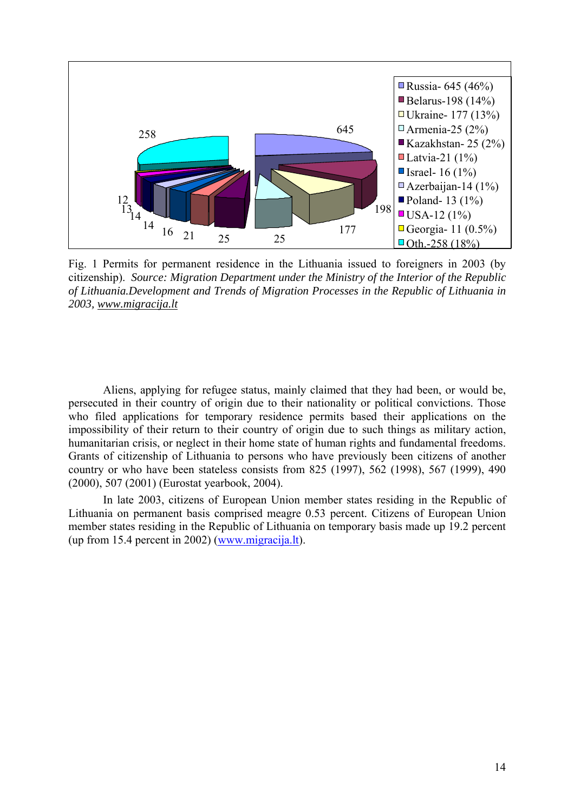

Fig. 1 Permits for permanent residence in the Lithuania issued to foreigners in 2003 (by citizenship). *Source: Migration Department under the Ministry of the Interior of the Republic of Lithuania.Development and Trends of Migration Processes in the Republic of Lithuania in 2003, www.migracija.lt*

Aliens, applying for refugee status, mainly claimed that they had been, or would be, persecuted in their country of origin due to their nationality or political convictions. Those who filed applications for temporary residence permits based their applications on the impossibility of their return to their country of origin due to such things as military action, humanitarian crisis, or neglect in their home state of human rights and fundamental freedoms. Grants of citizenship of Lithuania to persons who have previously been citizens of another country or who have been stateless consists from 825 (1997), 562 (1998), 567 (1999), 490 (2000), 507 (2001) (Eurostat yearbook, 2004).

In late 2003, citizens of European Union member states residing in the Republic of Lithuania on permanent basis comprised meagre 0.53 percent. Citizens of European Union member states residing in the Republic of Lithuania on temporary basis made up 19.2 percent (up from 15.4 percent in 2002) (www.migracija.lt).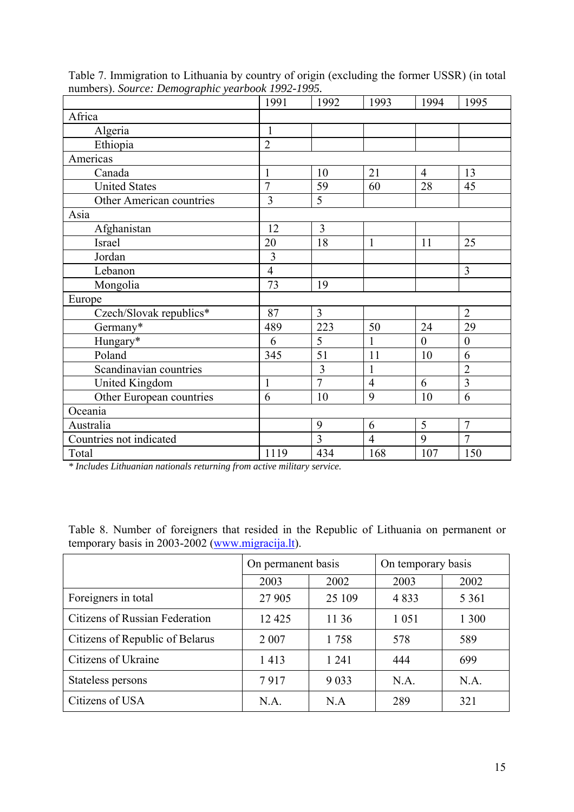|                          | 1991           | 1992           | 1993           | 1994           | 1995             |
|--------------------------|----------------|----------------|----------------|----------------|------------------|
| Africa                   |                |                |                |                |                  |
| Algeria                  | $\mathbf{1}$   |                |                |                |                  |
| Ethiopia                 | $\overline{2}$ |                |                |                |                  |
| Americas                 |                |                |                |                |                  |
| Canada                   | $\mathbf{1}$   | 10             | 21             | $\overline{4}$ | 13               |
| <b>United States</b>     | $\overline{7}$ | 59             | 60             | 28             | 45               |
| Other American countries | $\overline{3}$ | 5              |                |                |                  |
| Asia                     |                |                |                |                |                  |
| Afghanistan              | 12             | 3              |                |                |                  |
| Israel                   | 20             | 18             | $\mathbf{1}$   | 11             | 25               |
| Jordan                   | 3              |                |                |                |                  |
| Lebanon                  | $\overline{4}$ |                |                |                | 3                |
| Mongolia                 | 73             | 19             |                |                |                  |
| Europe                   |                |                |                |                |                  |
| Czech/Slovak republics*  | 87             | $\overline{3}$ |                |                | $\overline{2}$   |
| Germany*                 | 489            | 223            | 50             | 24             | 29               |
| Hungary*                 | 6              | 5              | 1              | $\overline{0}$ | $\boldsymbol{0}$ |
| Poland                   | 345            | 51             | 11             | 10             | 6                |
| Scandinavian countries   |                | 3              | 1              |                | $\overline{2}$   |
| United Kingdom           | $\mathbf{1}$   | $\overline{7}$ | $\overline{4}$ | 6              | $\overline{3}$   |
| Other European countries | 6              | 10             | 9              | 10             | 6                |
| Oceania                  |                |                |                |                |                  |
| Australia                |                | 9              | 6              | 5              | $\overline{7}$   |
| Countries not indicated  |                | 3              | $\overline{4}$ | 9              | $\overline{7}$   |
| Total                    | 1119           | 434            | 168            | 107            | 150              |

Table 7. Immigration to Lithuania by country of origin (excluding the former USSR) (in total numbers). *Source: Demographic yearbook 1992-1995.* 

*\* Includes Lithuanian nationals returning from active military service.* 

|                                 | On permanent basis |         | On temporary basis |         |  |
|---------------------------------|--------------------|---------|--------------------|---------|--|
|                                 | 2003               | 2002    | 2003               | 2002    |  |
| Foreigners in total             | 27 905             | 25 109  | 4833               | 5 3 6 1 |  |
| Citizens of Russian Federation  | 12 4 25            | 11 36   | 1 0 5 1            | 1 300   |  |
| Citizens of Republic of Belarus | 2 0 0 7            | 1758    | 578                | 589     |  |
| Citizens of Ukraine             | 1413               | 1 2 4 1 | 444                | 699     |  |
| Stateless persons               | 7917               | 9 0 3 3 | N.A.               | N.A.    |  |
| Citizens of USA                 | N.A.               | N.A     | 289                | 321     |  |

Table 8. Number of foreigners that resided in the Republic of Lithuania on permanent or temporary basis in 2003-2002 (www.migracija.lt).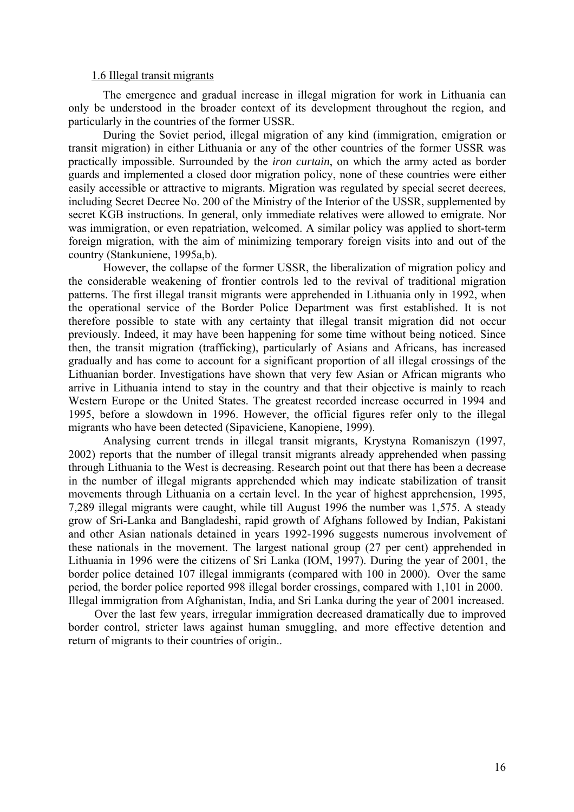#### 1.6 Illegal transit migrants

The emergence and gradual increase in illegal migration for work in Lithuania can only be understood in the broader context of its development throughout the region, and particularly in the countries of the former USSR.

During the Soviet period, illegal migration of any kind (immigration, emigration or transit migration) in either Lithuania or any of the other countries of the former USSR was practically impossible. Surrounded by the *iron curtain*, on which the army acted as border guards and implemented a closed door migration policy, none of these countries were either easily accessible or attractive to migrants. Migration was regulated by special secret decrees, including Secret Decree No. 200 of the Ministry of the Interior of the USSR, supplemented by secret KGB instructions. In general, only immediate relatives were allowed to emigrate. Nor was immigration, or even repatriation, welcomed. A similar policy was applied to short-term foreign migration, with the aim of minimizing temporary foreign visits into and out of the country (Stankuniene, 1995a,b).

However, the collapse of the former USSR, the liberalization of migration policy and the considerable weakening of frontier controls led to the revival of traditional migration patterns. The first illegal transit migrants were apprehended in Lithuania only in 1992, when the operational service of the Border Police Department was first established. It is not therefore possible to state with any certainty that illegal transit migration did not occur previously. Indeed, it may have been happening for some time without being noticed. Since then, the transit migration (trafficking), particularly of Asians and Africans, has increased gradually and has come to account for a significant proportion of all illegal crossings of the Lithuanian border. Investigations have shown that very few Asian or African migrants who arrive in Lithuania intend to stay in the country and that their objective is mainly to reach Western Europe or the United States. The greatest recorded increase occurred in 1994 and 1995, before a slowdown in 1996. However, the official figures refer only to the illegal migrants who have been detected (Sipaviciene, Kanopiene, 1999).

Analysing current trends in illegal transit migrants, Krystyna Romaniszyn (1997, 2002) reports that the number of illegal transit migrants already apprehended when passing through Lithuania to the West is decreasing. Research point out that there has been a decrease in the number of illegal migrants apprehended which may indicate stabilization of transit movements through Lithuania on a certain level. In the year of highest apprehension, 1995, 7,289 illegal migrants were caught, while till August 1996 the number was 1,575. A steady grow of Sri-Lanka and Bangladeshi, rapid growth of Afghans followed by Indian, Pakistani and other Asian nationals detained in years 1992-1996 suggests numerous involvement of these nationals in the movement. The largest national group (27 per cent) apprehended in Lithuania in 1996 were the citizens of Sri Lanka (IOM, 1997). During the year of 2001, the border police detained 107 illegal immigrants (compared with 100 in 2000). Over the same period, the border police reported 998 illegal border crossings, compared with 1,101 in 2000. Illegal immigration from Afghanistan, India, and Sri Lanka during the year of 2001 increased.

Over the last few years, irregular immigration decreased dramatically due to improved border control, stricter laws against human smuggling, and more effective detention and return of migrants to their countries of origin..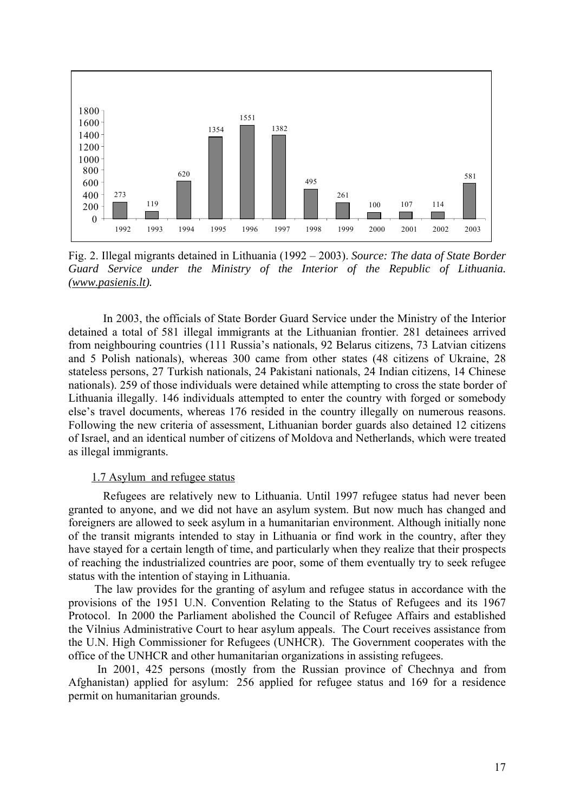

Fig. 2. Illegal migrants detained in Lithuania (1992 – 2003). *Source: The data of State Border Guard Service under the Ministry of the Interior of the Republic of Lithuania. (www.pasienis.lt).* 

In 2003, the officials of State Border Guard Service under the Ministry of the Interior detained a total of 581 illegal immigrants at the Lithuanian frontier. 281 detainees arrived from neighbouring countries (111 Russia's nationals, 92 Belarus citizens, 73 Latvian citizens and 5 Polish nationals), whereas 300 came from other states (48 citizens of Ukraine, 28 stateless persons, 27 Turkish nationals, 24 Pakistani nationals, 24 Indian citizens, 14 Chinese nationals). 259 of those individuals were detained while attempting to cross the state border of Lithuania illegally. 146 individuals attempted to enter the country with forged or somebody else's travel documents, whereas 176 resided in the country illegally on numerous reasons. Following the new criteria of assessment, Lithuanian border guards also detained 12 citizens of Israel, and an identical number of citizens of Moldova and Netherlands, which were treated as illegal immigrants.

#### 1.7 Asylum and refugee status

Refugees are relatively new to Lithuania. Until 1997 refugee status had never been granted to anyone, and we did not have an asylum system. But now much has changed and foreigners are allowed to seek asylum in a humanitarian environment. Although initially none of the transit migrants intended to stay in Lithuania or find work in the country, after they have stayed for a certain length of time, and particularly when they realize that their prospects of reaching the industrialized countries are poor, some of them eventually try to seek refugee status with the intention of staying in Lithuania.

The law provides for the granting of asylum and refugee status in accordance with the provisions of the 1951 U.N. Convention Relating to the Status of Refugees and its 1967 Protocol. In 2000 the Parliament abolished the Council of Refugee Affairs and established the Vilnius Administrative Court to hear asylum appeals. The Court receives assistance from the U.N. High Commissioner for Refugees (UNHCR). The Government cooperates with the office of the UNHCR and other humanitarian organizations in assisting refugees.

 In 2001, 425 persons (mostly from the Russian province of Chechnya and from Afghanistan) applied for asylum: 256 applied for refugee status and 169 for a residence permit on humanitarian grounds.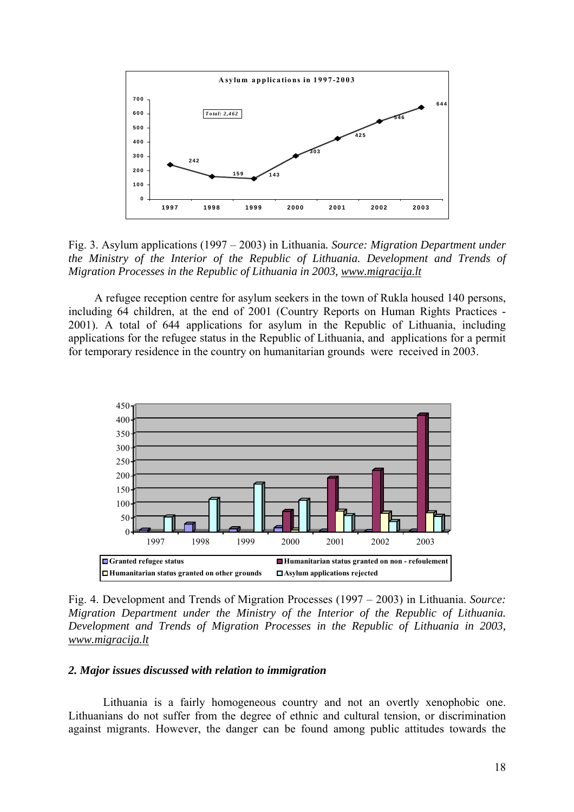

Fig. 3. Asylum applications (1997 – 2003) in Lithuania*. Source: Migration Department under the Ministry of the Interior of the Republic of Lithuania. Development and Trends of Migration Processes in the Republic of Lithuania in 2003, www.migracija.lt*

A refugee reception centre for asylum seekers in the town of Rukla housed 140 persons, including 64 children, at the end of 2001 (Country Reports on Human Rights Practices - 2001). A total of 644 applications for asylum in the Republic of Lithuania, including applications for the refugee status in the Republic of Lithuania, and applications for a permit for temporary residence in the country on humanitarian grounds were received in 2003.



Fig. 4. Development and Trends of Migration Processes (1997 – 2003) in Lithuania. *Source: Migration Department under the Ministry of the Interior of the Republic of Lithuania. Development and Trends of Migration Processes in the Republic of Lithuania in 2003, www.migracija.lt*

#### *2. Major issues discussed with relation to immigration*

Lithuania is a fairly homogeneous country and not an overtly xenophobic one. Lithuanians do not suffer from the degree of ethnic and cultural tension, or discrimination against migrants. However, the danger can be found among public attitudes towards the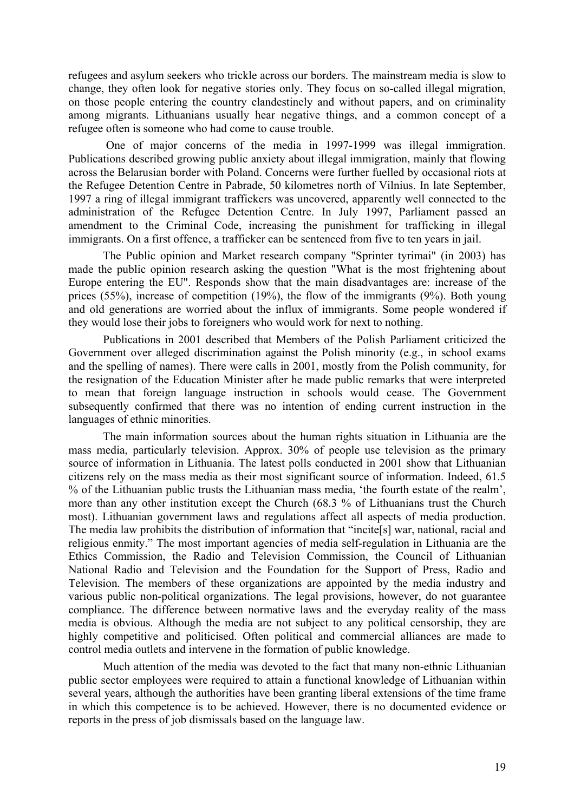refugees and asylum seekers who trickle across our borders. The mainstream media is slow to change, they often look for negative stories only. They focus on so-called illegal migration, on those people entering the country clandestinely and without papers, and on criminality among migrants. Lithuanians usually hear negative things, and a common concept of a refugee often is someone who had come to cause trouble.

 One of major concerns of the media in 1997-1999 was illegal immigration. Publications described growing public anxiety about illegal immigration, mainly that flowing across the Belarusian border with Poland. Concerns were further fuelled by occasional riots at the Refugee Detention Centre in Pabrade, 50 kilometres north of Vilnius. In late September, 1997 a ring of illegal immigrant traffickers was uncovered, apparently well connected to the administration of the Refugee Detention Centre. In July 1997, Parliament passed an amendment to the Criminal Code, increasing the punishment for trafficking in illegal immigrants. On a first offence, a trafficker can be sentenced from five to ten years in jail.

The Public opinion and Market research company "Sprinter tyrimai" (in 2003) has made the public opinion research asking the question "What is the most frightening about Europe entering the EU". Responds show that the main disadvantages are: increase of the prices (55%), increase of competition (19%), the flow of the immigrants (9%). Both young and old generations are worried about the influx of immigrants. Some people wondered if they would lose their jobs to foreigners who would work for next to nothing.

Publications in 2001 described that Members of the Polish Parliament criticized the Government over alleged discrimination against the Polish minority (e.g., in school exams and the spelling of names). There were calls in 2001, mostly from the Polish community, for the resignation of the Education Minister after he made public remarks that were interpreted to mean that foreign language instruction in schools would cease. The Government subsequently confirmed that there was no intention of ending current instruction in the languages of ethnic minorities.

The main information sources about the human rights situation in Lithuania are the mass media, particularly television. Approx. 30% of people use television as the primary source of information in Lithuania. The latest polls conducted in 2001 show that Lithuanian citizens rely on the mass media as their most significant source of information. Indeed, 61.5 % of the Lithuanian public trusts the Lithuanian mass media, 'the fourth estate of the realm', more than any other institution except the Church (68.3 % of Lithuanians trust the Church most). Lithuanian government laws and regulations affect all aspects of media production. The media law prohibits the distribution of information that "incite[s] war, national, racial and religious enmity." The most important agencies of media self-regulation in Lithuania are the Ethics Commission, the Radio and Television Commission, the Council of Lithuanian National Radio and Television and the Foundation for the Support of Press, Radio and Television. The members of these organizations are appointed by the media industry and various public non-political organizations. The legal provisions, however, do not guarantee compliance. The difference between normative laws and the everyday reality of the mass media is obvious. Although the media are not subject to any political censorship, they are highly competitive and politicised. Often political and commercial alliances are made to control media outlets and intervene in the formation of public knowledge.

Much attention of the media was devoted to the fact that many non-ethnic Lithuanian public sector employees were required to attain a functional knowledge of Lithuanian within several years, although the authorities have been granting liberal extensions of the time frame in which this competence is to be achieved. However, there is no documented evidence or reports in the press of job dismissals based on the language law.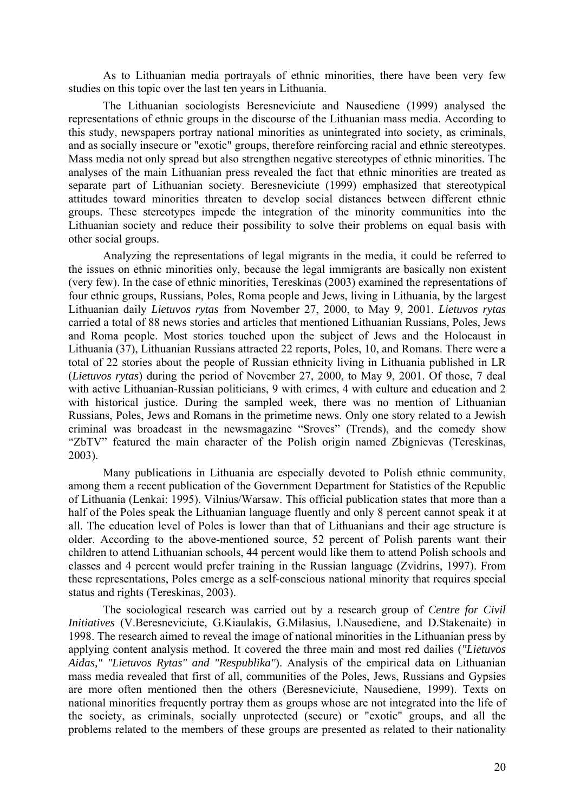As to Lithuanian media portrayals of ethnic minorities, there have been very few studies on this topic over the last ten years in Lithuania.

The Lithuanian sociologists Beresneviciute and Nausediene (1999) analysed the representations of ethnic groups in the discourse of the Lithuanian mass media. According to this study, newspapers portray national minorities as unintegrated into society, as criminals, and as socially insecure or "exotic" groups, therefore reinforcing racial and ethnic stereotypes. Mass media not only spread but also strengthen negative stereotypes of ethnic minorities. The analyses of the main Lithuanian press revealed the fact that ethnic minorities are treated as separate part of Lithuanian society. Beresneviciute (1999) emphasized that stereotypical attitudes toward minorities threaten to develop social distances between different ethnic groups. These stereotypes impede the integration of the minority communities into the Lithuanian society and reduce their possibility to solve their problems on equal basis with other social groups.

Analyzing the representations of legal migrants in the media, it could be referred to the issues on ethnic minorities only, because the legal immigrants are basically non existent (very few). In the case of ethnic minorities, Tereskinas (2003) examined the representations of four ethnic groups, Russians, Poles, Roma people and Jews, living in Lithuania, by the largest Lithuanian daily *Lietuvos rytas* from November 27, 2000, to May 9, 2001. *Lietuvos rytas* carried a total of 88 news stories and articles that mentioned Lithuanian Russians, Poles, Jews and Roma people. Most stories touched upon the subject of Jews and the Holocaust in Lithuania (37), Lithuanian Russians attracted 22 reports, Poles, 10, and Romans. There were a total of 22 stories about the people of Russian ethnicity living in Lithuania published in LR (*Lietuvos rytas*) during the period of November 27, 2000, to May 9, 2001. Of those, 7 deal with active Lithuanian-Russian politicians, 9 with crimes, 4 with culture and education and 2 with historical justice. During the sampled week, there was no mention of Lithuanian Russians, Poles, Jews and Romans in the primetime news. Only one story related to a Jewish criminal was broadcast in the newsmagazine "Sroves" (Trends), and the comedy show "ZbTV" featured the main character of the Polish origin named Zbignievas (Tereskinas, 2003).

Many publications in Lithuania are especially devoted to Polish ethnic community, among them a recent publication of the Government Department for Statistics of the Republic of Lithuania (Lenkai: 1995). Vilnius/Warsaw. This official publication states that more than a half of the Poles speak the Lithuanian language fluently and only 8 percent cannot speak it at all. The education level of Poles is lower than that of Lithuanians and their age structure is older. According to the above-mentioned source, 52 percent of Polish parents want their children to attend Lithuanian schools, 44 percent would like them to attend Polish schools and classes and 4 percent would prefer training in the Russian language (Zvidrins, 1997). From these representations, Poles emerge as a self-conscious national minority that requires special status and rights (Tereskinas, 2003).

The sociological research was carried out by a research group of *Centre for Civil Initiatives* (V.Beresneviciute, G.Kiaulakis, G.Milasius, I.Nausediene, and D.Stakenaite) in 1998. The research aimed to reveal the image of national minorities in the Lithuanian press by applying content analysis method. It covered the three main and most red dailies (*"Lietuvos Aidas," "Lietuvos Rytas" and "Respublika"*). Analysis of the empirical data on Lithuanian mass media revealed that first of all, communities of the Poles, Jews, Russians and Gypsies are more often mentioned then the others (Beresneviciute, Nausediene, 1999). Texts on national minorities frequently portray them as groups whose are not integrated into the life of the society, as criminals, socially unprotected (secure) or "exotic" groups, and all the problems related to the members of these groups are presented as related to their nationality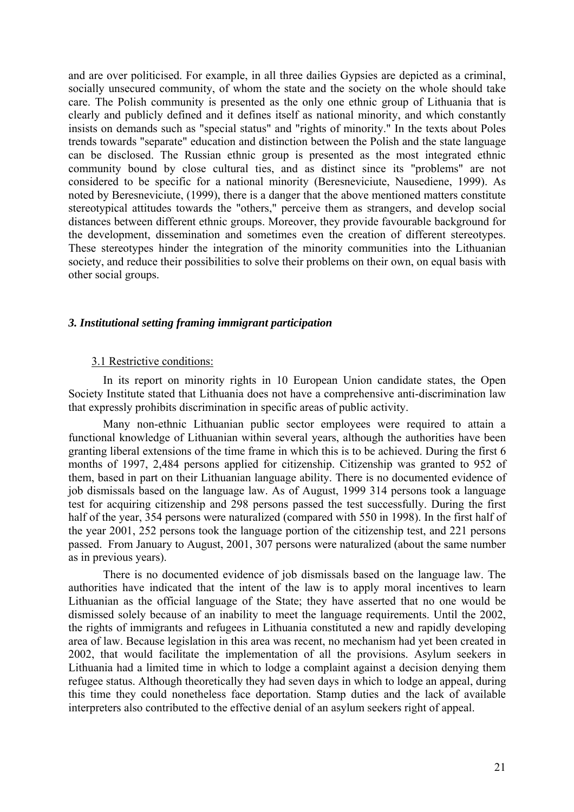and are over politicised. For example, in all three dailies Gypsies are depicted as a criminal, socially unsecured community, of whom the state and the society on the whole should take care. The Polish community is presented as the only one ethnic group of Lithuania that is clearly and publicly defined and it defines itself as national minority, and which constantly insists on demands such as "special status" and "rights of minority." In the texts about Poles trends towards "separate" education and distinction between the Polish and the state language can be disclosed. The Russian ethnic group is presented as the most integrated ethnic community bound by close cultural ties, and as distinct since its "problems" are not considered to be specific for a national minority (Beresneviciute, Nausediene, 1999). As noted by Beresneviciute, (1999), there is a danger that the above mentioned matters constitute stereotypical attitudes towards the "others," perceive them as strangers, and develop social distances between different ethnic groups. Moreover, they provide favourable background for the development, dissemination and sometimes even the creation of different stereotypes. These stereotypes hinder the integration of the minority communities into the Lithuanian society, and reduce their possibilities to solve their problems on their own, on equal basis with other social groups.

### *3. Institutional setting framing immigrant participation*

### 3.1 Restrictive conditions:

In its report on minority rights in 10 European Union candidate states, the Open Society Institute stated that Lithuania does not have a comprehensive anti-discrimination law that expressly prohibits discrimination in specific areas of public activity.

Many non-ethnic Lithuanian public sector employees were required to attain a functional knowledge of Lithuanian within several years, although the authorities have been granting liberal extensions of the time frame in which this is to be achieved. During the first 6 months of 1997, 2,484 persons applied for citizenship. Citizenship was granted to 952 of them, based in part on their Lithuanian language ability. There is no documented evidence of job dismissals based on the language law. As of August, 1999 314 persons took a language test for acquiring citizenship and 298 persons passed the test successfully. During the first half of the year, 354 persons were naturalized (compared with 550 in 1998). In the first half of the year 2001, 252 persons took the language portion of the citizenship test, and 221 persons passed. From January to August, 2001, 307 persons were naturalized (about the same number as in previous years).

There is no documented evidence of job dismissals based on the language law. The authorities have indicated that the intent of the law is to apply moral incentives to learn Lithuanian as the official language of the State; they have asserted that no one would be dismissed solely because of an inability to meet the language requirements. Until the 2002, the rights of immigrants and refugees in Lithuania constituted a new and rapidly developing area of law. Because legislation in this area was recent, no mechanism had yet been created in 2002, that would facilitate the implementation of all the provisions. Asylum seekers in Lithuania had a limited time in which to lodge a complaint against a decision denying them refugee status. Although theoretically they had seven days in which to lodge an appeal, during this time they could nonetheless face deportation. Stamp duties and the lack of available interpreters also contributed to the effective denial of an asylum seekers right of appeal.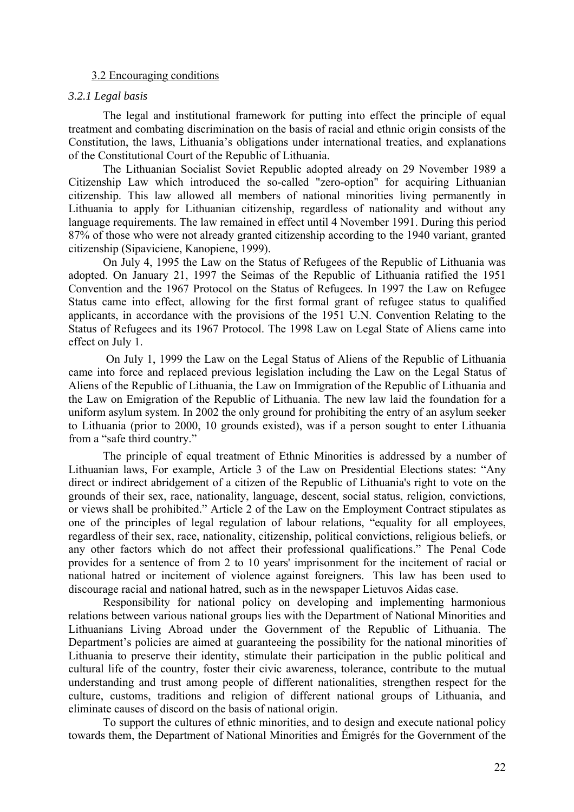#### 3.2 Encouraging conditions

#### *3.2.1 Legal basis*

The legal and institutional framework for putting into effect the principle of equal treatment and combating discrimination on the basis of racial and ethnic origin consists of the Constitution, the laws, Lithuania's obligations under international treaties, and explanations of the Constitutional Court of the Republic of Lithuania.

The Lithuanian Socialist Soviet Republic adopted already on 29 November 1989 a Citizenship Law which introduced the so-called "zero-option" for acquiring Lithuanian citizenship. This law allowed all members of national minorities living permanently in Lithuania to apply for Lithuanian citizenship, regardless of nationality and without any language requirements. The law remained in effect until 4 November 1991. During this period 87% of those who were not already granted citizenship according to the 1940 variant, granted citizenship (Sipaviciene, Kanopiene, 1999).

On July 4, 1995 the Law on the Status of Refugees of the Republic of Lithuania was adopted. On January 21, 1997 the Seimas of the Republic of Lithuania ratified the 1951 Convention and the 1967 Protocol on the Status of Refugees. In 1997 the Law on Refugee Status came into effect, allowing for the first formal grant of refugee status to qualified applicants, in accordance with the provisions of the 1951 U.N. Convention Relating to the Status of Refugees and its 1967 Protocol. The 1998 Law on Legal State of Aliens came into effect on July 1.

 On July 1, 1999 the Law on the Legal Status of Aliens of the Republic of Lithuania came into force and replaced previous legislation including the Law on the Legal Status of Aliens of the Republic of Lithuania, the Law on Immigration of the Republic of Lithuania and the Law on Emigration of the Republic of Lithuania. The new law laid the foundation for a uniform asylum system. In 2002 the only ground for prohibiting the entry of an asylum seeker to Lithuania (prior to 2000, 10 grounds existed), was if a person sought to enter Lithuania from a "safe third country."

The principle of equal treatment of Ethnic Minorities is addressed by a number of Lithuanian laws, For example, Article 3 of the Law on Presidential Elections states: "Any direct or indirect abridgement of a citizen of the Republic of Lithuania's right to vote on the grounds of their sex, race, nationality, language, descent, social status, religion, convictions, or views shall be prohibited." Article 2 of the Law on the Employment Contract stipulates as one of the principles of legal regulation of labour relations, "equality for all employees, regardless of their sex, race, nationality, citizenship, political convictions, religious beliefs, or any other factors which do not affect their professional qualifications." The Penal Code provides for a sentence of from 2 to 10 years' imprisonment for the incitement of racial or national hatred or incitement of violence against foreigners. This law has been used to discourage racial and national hatred, such as in the newspaper Lietuvos Aidas case.

Responsibility for national policy on developing and implementing harmonious relations between various national groups lies with the Department of National Minorities and Lithuanians Living Abroad under the Government of the Republic of Lithuania. The Department's policies are aimed at guaranteeing the possibility for the national minorities of Lithuania to preserve their identity, stimulate their participation in the public political and cultural life of the country, foster their civic awareness, tolerance, contribute to the mutual understanding and trust among people of different nationalities, strengthen respect for the culture, customs, traditions and religion of different national groups of Lithuania, and eliminate causes of discord on the basis of national origin.

To support the cultures of ethnic minorities, and to design and execute national policy towards them, the Department of National Minorities and Émigrés for the Government of the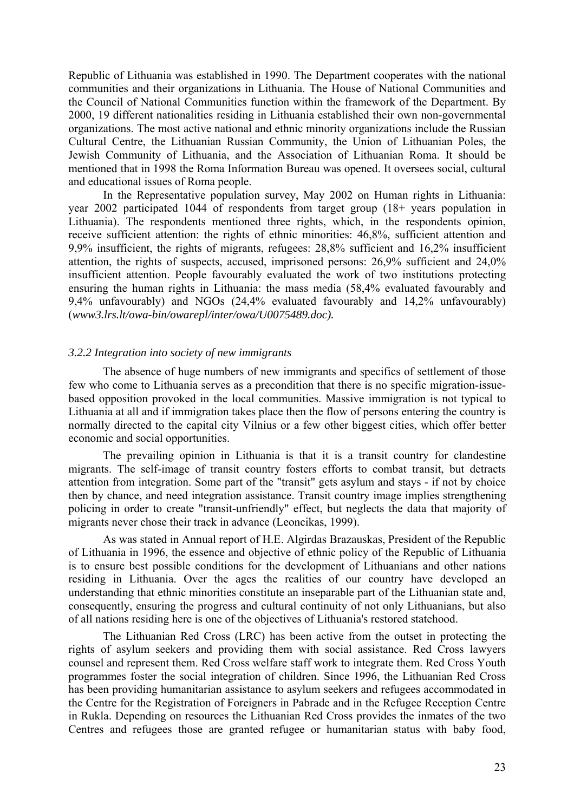Republic of Lithuania was established in 1990. The Department cooperates with the national communities and their organizations in Lithuania. The House of National Communities and the Council of National Communities function within the framework of the Department. By 2000, 19 different nationalities residing in Lithuania established their own non-governmental organizations. The most active national and ethnic minority organizations include the Russian Cultural Centre, the Lithuanian Russian Community, the Union of Lithuanian Poles, the Jewish Community of Lithuania, and the Association of Lithuanian Roma. It should be mentioned that in 1998 the Roma Information Bureau was opened. It oversees social, cultural and educational issues of Roma people.

In the Representative population survey, May 2002 on Human rights in Lithuania: year 2002 participated 1044 of respondents from target group (18+ years population in Lithuania). The respondents mentioned three rights, which, in the respondents opinion, receive sufficient attention: the rights of ethnic minorities: 46,8%, sufficient attention and 9,9% insufficient, the rights of migrants, refugees: 28,8% sufficient and 16,2% insufficient attention, the rights of suspects, accused, imprisoned persons: 26,9% sufficient and 24,0% insufficient attention. People favourably evaluated the work of two institutions protecting ensuring the human rights in Lithuania: the mass media (58,4% evaluated favourably and 9,4% unfavourably) and NGOs (24,4% evaluated favourably and 14,2% unfavourably) (*www3.lrs.lt/owa-bin/owarepl/inter/owa/U0075489.doc).* 

#### *3.2.2 Integration into society of new immigrants*

The absence of huge numbers of new immigrants and specifics of settlement of those few who come to Lithuania serves as a precondition that there is no specific migration-issuebased opposition provoked in the local communities. Massive immigration is not typical to Lithuania at all and if immigration takes place then the flow of persons entering the country is normally directed to the capital city Vilnius or a few other biggest cities, which offer better economic and social opportunities.

The prevailing opinion in Lithuania is that it is a transit country for clandestine migrants. The self-image of transit country fosters efforts to combat transit, but detracts attention from integration. Some part of the "transit" gets asylum and stays - if not by choice then by chance, and need integration assistance. Transit country image implies strengthening policing in order to create "transit-unfriendly" effect, but neglects the data that majority of migrants never chose their track in advance (Leoncikas, 1999).

As was stated in Annual report of H.E. Algirdas Brazauskas, President of the Republic of Lithuania in 1996, the essence and objective of ethnic policy of the Republic of Lithuania is to ensure best possible conditions for the development of Lithuanians and other nations residing in Lithuania. Over the ages the realities of our country have developed an understanding that ethnic minorities constitute an inseparable part of the Lithuanian state and, consequently, ensuring the progress and cultural continuity of not only Lithuanians, but also of all nations residing here is one of the objectives of Lithuania's restored statehood.

The Lithuanian Red Cross (LRC) has been active from the outset in protecting the rights of asylum seekers and providing them with social assistance. Red Cross lawyers counsel and represent them. Red Cross welfare staff work to integrate them. Red Cross Youth programmes foster the social integration of children. Since 1996, the Lithuanian Red Cross has been providing humanitarian assistance to asylum seekers and refugees accommodated in the Centre for the Registration of Foreigners in Pabrade and in the Refugee Reception Centre in Rukla. Depending on resources the Lithuanian Red Cross provides the inmates of the two Centres and refugees those are granted refugee or humanitarian status with baby food,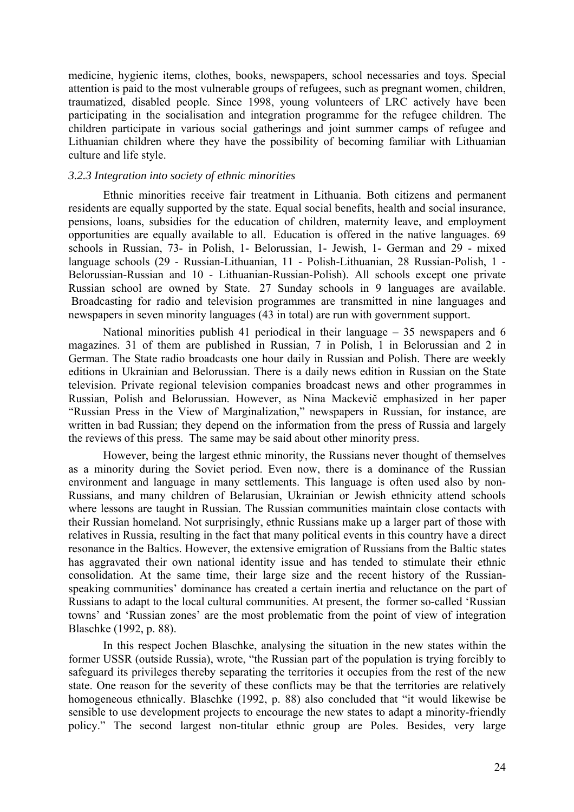medicine, hygienic items, clothes, books, newspapers, school necessaries and toys. Special attention is paid to the most vulnerable groups of refugees, such as pregnant women, children, traumatized, disabled people. Since 1998, young volunteers of LRC actively have been participating in the socialisation and integration programme for the refugee children. The children participate in various social gatherings and joint summer camps of refugee and Lithuanian children where they have the possibility of becoming familiar with Lithuanian culture and life style.

### *3.2.3 Integration into society of ethnic minorities*

Ethnic minorities receive fair treatment in Lithuania. Both citizens and permanent residents are equally supported by the state. Equal social benefits, health and social insurance, pensions, loans, subsidies for the education of children, maternity leave, and employment opportunities are equally available to all. Education is offered in the native languages. 69 schools in Russian, 73- in Polish, 1- Belorussian, 1- Jewish, 1- German and 29 - mixed language schools (29 - Russian-Lithuanian, 11 - Polish-Lithuanian, 28 Russian-Polish, 1 - Belorussian-Russian and 10 - Lithuanian-Russian-Polish). All schools except one private Russian school are owned by State. 27 Sunday schools in 9 languages are available. Broadcasting for radio and television programmes are transmitted in nine languages and newspapers in seven minority languages (43 in total) are run with government support.

National minorities publish 41 periodical in their language – 35 newspapers and 6 magazines. 31 of them are published in Russian, 7 in Polish, 1 in Belorussian and 2 in German. The State radio broadcasts one hour daily in Russian and Polish. There are weekly editions in Ukrainian and Belorussian. There is a daily news edition in Russian on the State television. Private regional television companies broadcast news and other programmes in Russian, Polish and Belorussian. However, as Nina Mackevič emphasized in her paper "Russian Press in the View of Marginalization," newspapers in Russian, for instance, are written in bad Russian; they depend on the information from the press of Russia and largely the reviews of this press. The same may be said about other minority press.

However, being the largest ethnic minority, the Russians never thought of themselves as a minority during the Soviet period. Even now, there is a dominance of the Russian environment and language in many settlements. This language is often used also by non-Russians, and many children of Belarusian, Ukrainian or Jewish ethnicity attend schools where lessons are taught in Russian. The Russian communities maintain close contacts with their Russian homeland. Not surprisingly, ethnic Russians make up a larger part of those with relatives in Russia, resulting in the fact that many political events in this country have a direct resonance in the Baltics. However, the extensive emigration of Russians from the Baltic states has aggravated their own national identity issue and has tended to stimulate their ethnic consolidation. At the same time, their large size and the recent history of the Russianspeaking communities' dominance has created a certain inertia and reluctance on the part of Russians to adapt to the local cultural communities. At present, the former so-called 'Russian towns' and 'Russian zones' are the most problematic from the point of view of integration Blaschke (1992, p. 88).

In this respect Jochen Blaschke, analysing the situation in the new states within the former USSR (outside Russia), wrote, "the Russian part of the population is trying forcibly to safeguard its privileges thereby separating the territories it occupies from the rest of the new state. One reason for the severity of these conflicts may be that the territories are relatively homogeneous ethnically. Blaschke (1992, p. 88) also concluded that "it would likewise be sensible to use development projects to encourage the new states to adapt a minority-friendly policy." The second largest non-titular ethnic group are Poles. Besides, very large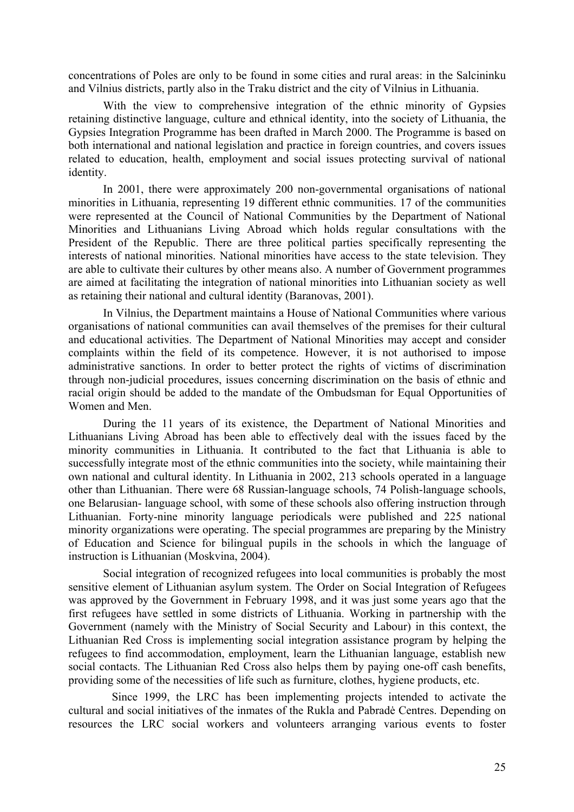concentrations of Poles are only to be found in some cities and rural areas: in the Salcininku and Vilnius districts, partly also in the Traku district and the city of Vilnius in Lithuania.

With the view to comprehensive integration of the ethnic minority of Gypsies retaining distinctive language, culture and ethnical identity, into the society of Lithuania, the Gypsies Integration Programme has been drafted in March 2000. The Programme is based on both international and national legislation and practice in foreign countries, and covers issues related to education, health, employment and social issues protecting survival of national identity.

In 2001, there were approximately 200 non-governmental organisations of national minorities in Lithuania, representing 19 different ethnic communities. 17 of the communities were represented at the Council of National Communities by the Department of National Minorities and Lithuanians Living Abroad which holds regular consultations with the President of the Republic. There are three political parties specifically representing the interests of national minorities. National minorities have access to the state television. They are able to cultivate their cultures by other means also. A number of Government programmes are aimed at facilitating the integration of national minorities into Lithuanian society as well as retaining their national and cultural identity (Baranovas, 2001).

In Vilnius, the Department maintains a House of National Communities where various organisations of national communities can avail themselves of the premises for their cultural and educational activities. The Department of National Minorities may accept and consider complaints within the field of its competence. However, it is not authorised to impose administrative sanctions. In order to better protect the rights of victims of discrimination through non-judicial procedures, issues concerning discrimination on the basis of ethnic and racial origin should be added to the mandate of the Ombudsman for Equal Opportunities of Women and Men.

During the 11 years of its existence, the Department of National Minorities and Lithuanians Living Abroad has been able to effectively deal with the issues faced by the minority communities in Lithuania. It contributed to the fact that Lithuania is able to successfully integrate most of the ethnic communities into the society, while maintaining their own national and cultural identity. In Lithuania in 2002, 213 schools operated in a language other than Lithuanian. There were 68 Russian-language schools, 74 Polish-language schools, one Belarusian- language school, with some of these schools also offering instruction through Lithuanian. Forty-nine minority language periodicals were published and 225 national minority organizations were operating. The special programmes are preparing by the Ministry of Education and Science for bilingual pupils in the schools in which the language of instruction is Lithuanian (Moskvina, 2004).

Social integration of recognized refugees into local communities is probably the most sensitive element of Lithuanian asylum system. The Order on Social Integration of Refugees was approved by the Government in February 1998, and it was just some years ago that the first refugees have settled in some districts of Lithuania. Working in partnership with the Government (namely with the Ministry of Social Security and Labour) in this context, the Lithuanian Red Cross is implementing social integration assistance program by helping the refugees to find accommodation, employment, learn the Lithuanian language, establish new social contacts. The Lithuanian Red Cross also helps them by paying one-off cash benefits, providing some of the necessities of life such as furniture, clothes, hygiene products, etc.

Since 1999, the LRC has been implementing projects intended to activate the cultural and social initiatives of the inmates of the Rukla and Pabradė Centres. Depending on resources the LRC social workers and volunteers arranging various events to foster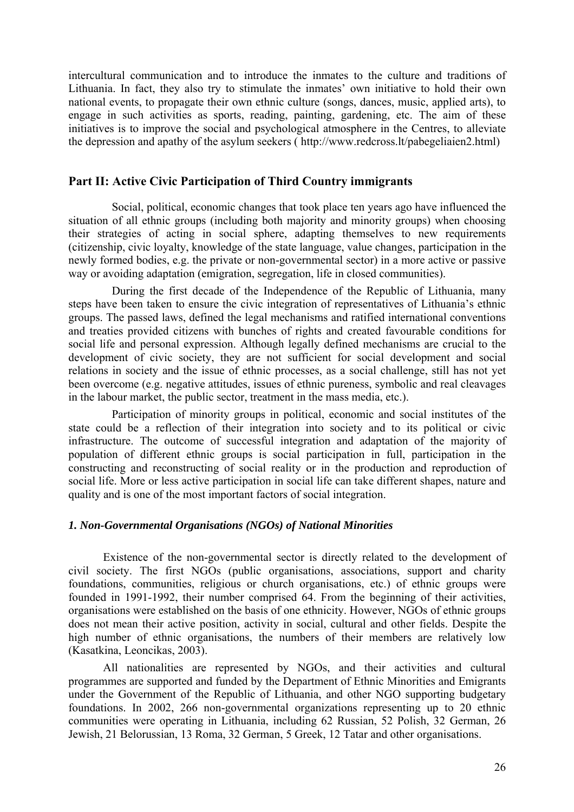intercultural communication and to introduce the inmates to the culture and traditions of Lithuania. In fact, they also try to stimulate the inmates' own initiative to hold their own national events, to propagate their own ethnic culture (songs, dances, music, applied arts), to engage in such activities as sports, reading, painting, gardening, etc. The aim of these initiatives is to improve the social and psychological atmosphere in the Centres, to alleviate the depression and apathy of the asylum seekers ( [http://www.redcross.lt/pabegeliaien2.html\)](http://www.redcross.lt/pabegeliaien2.html)

### **Part II: Active Civic Participation of Third Country immigrants**

Social, political, economic changes that took place ten years ago have influenced the situation of all ethnic groups (including both majority and minority groups) when choosing their strategies of acting in social sphere, adapting themselves to new requirements (citizenship, civic loyalty, knowledge of the state language, value changes, participation in the newly formed bodies, e.g. the private or non-governmental sector) in a more active or passive way or avoiding adaptation (emigration, segregation, life in closed communities).

During the first decade of the Independence of the Republic of Lithuania, many steps have been taken to ensure the civic integration of representatives of Lithuania's ethnic groups. The passed laws, defined the legal mechanisms and ratified international conventions and treaties provided citizens with bunches of rights and created favourable conditions for social life and personal expression. Although legally defined mechanisms are crucial to the development of civic society, they are not sufficient for social development and social relations in society and the issue of ethnic processes, as a social challenge, still has not yet been overcome (e.g. negative attitudes, issues of ethnic pureness, symbolic and real cleavages in the labour market, the public sector, treatment in the mass media, etc.).

Participation of minority groups in political, economic and social institutes of the state could be a reflection of their integration into society and to its political or civic infrastructure. The outcome of successful integration and adaptation of the majority of population of different ethnic groups is social participation in full, participation in the constructing and reconstructing of social reality or in the production and reproduction of social life. More or less active participation in social life can take different shapes, nature and quality and is one of the most important factors of social integration.

# *1. Non-Governmental Organisations (NGOs) of National Minorities*

Existence of the non-governmental sector is directly related to the development of civil society. The first NGOs (public organisations, associations, support and charity foundations, communities, religious or church organisations, etc.) of ethnic groups were founded in 1991-1992, their number comprised 64. From the beginning of their activities, organisations were established on the basis of one ethnicity. However, NGOs of ethnic groups does not mean their active position, activity in social, cultural and other fields. Despite the high number of ethnic organisations, the numbers of their members are relatively low (Kasatkina, Leoncikas, 2003).

All nationalities are represented by NGOs, and their activities and cultural programmes are supported and funded by the Department of Ethnic Minorities and Emigrants under the Government of the Republic of Lithuania, and other NGO supporting budgetary foundations. In 2002, 266 non-governmental organizations representing up to 20 ethnic communities were operating in Lithuania, including 62 Russian, 52 Polish, 32 German, 26 Jewish, 21 Belorussian, 13 Roma, 32 German, 5 Greek, 12 Tatar and other organisations.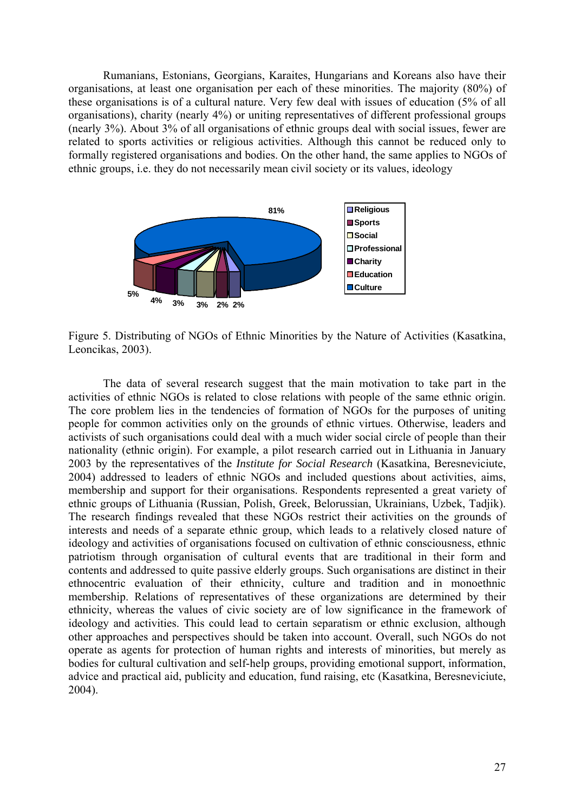Rumanians, Estonians, Georgians, Karaites, Hungarians and Koreans also have their organisations, at least one organisation per each of these minorities. The majority (80%) of these organisations is of a cultural nature. Very few deal with issues of education (5% of all organisations), charity (nearly 4%) or uniting representatives of different professional groups (nearly 3%). About 3% of all organisations of ethnic groups deal with social issues, fewer are related to sports activities or religious activities. Although this cannot be reduced only to formally registered organisations and bodies. On the other hand, the same applies to NGOs of ethnic groups, i.e. they do not necessarily mean civil society or its values, ideology



Figure 5. Distributing of NGOs of Ethnic Minorities by the Nature of Activities (Kasatkina, Leoncikas, 2003).

The data of several research suggest that the main motivation to take part in the activities of ethnic NGOs is related to close relations with people of the same ethnic origin. The core problem lies in the tendencies of formation of NGOs for the purposes of uniting people for common activities only on the grounds of ethnic virtues. Otherwise, leaders and activists of such organisations could deal with a much wider social circle of people than their nationality (ethnic origin). For example, a pilot research carried out in Lithuania in January 2003 by the representatives of the *Institute for Social Research* (Kasatkina, Beresneviciute, 2004) addressed to leaders of ethnic NGOs and included questions about activities, aims, membership and support for their organisations. Respondents represented a great variety of ethnic groups of Lithuania (Russian, Polish, Greek, Belorussian, Ukrainians, Uzbek, Tadjik). The research findings revealed that these NGOs restrict their activities on the grounds of interests and needs of a separate ethnic group, which leads to a relatively closed nature of ideology and activities of organisations focused on cultivation of ethnic consciousness, ethnic patriotism through organisation of cultural events that are traditional in their form and contents and addressed to quite passive elderly groups. Such organisations are distinct in their ethnocentric evaluation of their ethnicity, culture and tradition and in monoethnic membership. Relations of representatives of these organizations are determined by their ethnicity, whereas the values of civic society are of low significance in the framework of ideology and activities. This could lead to certain separatism or ethnic exclusion, although other approaches and perspectives should be taken into account. Overall, such NGOs do not operate as agents for protection of human rights and interests of minorities, but merely as bodies for cultural cultivation and self-help groups, providing emotional support, information, advice and practical aid, publicity and education, fund raising, etc (Kasatkina, Beresneviciute, 2004).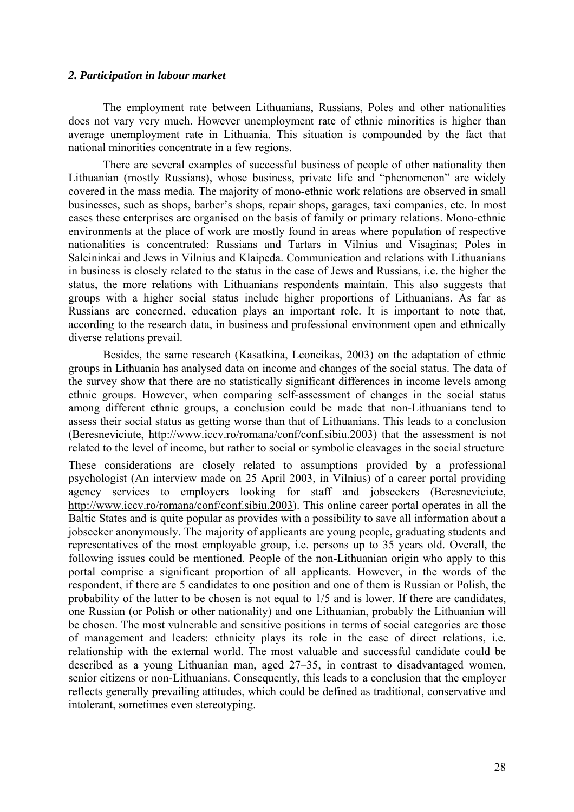#### *2. Participation in labour market*

The employment rate between Lithuanians, Russians, Poles and other nationalities does not vary very much. However unemployment rate of ethnic minorities is higher than average unemployment rate in Lithuania. This situation is compounded by the fact that national minorities concentrate in a few regions.

There are several examples of successful business of people of other nationality then Lithuanian (mostly Russians), whose business, private life and "phenomenon" are widely covered in the mass media. The majority of mono-ethnic work relations are observed in small businesses, such as shops, barber's shops, repair shops, garages, taxi companies, etc. In most cases these enterprises are organised on the basis of family or primary relations. Mono-ethnic environments at the place of work are mostly found in areas where population of respective nationalities is concentrated: Russians and Tartars in Vilnius and Visaginas; Poles in Salcininkai and Jews in Vilnius and Klaipeda. Communication and relations with Lithuanians in business is closely related to the status in the case of Jews and Russians, i.e. the higher the status, the more relations with Lithuanians respondents maintain. This also suggests that groups with a higher social status include higher proportions of Lithuanians. As far as Russians are concerned, education plays an important role. It is important to note that, according to the research data, in business and professional environment open and ethnically diverse relations prevail.

Besides, the same research (Kasatkina, Leoncikas, 2003) on the adaptation of ethnic groups in Lithuania has analysed data on income and changes of the social status. The data of the survey show that there are no statistically significant differences in income levels among ethnic groups. However, when comparing self-assessment of changes in the social status among different ethnic groups, a conclusion could be made that non-Lithuanians tend to assess their social status as getting worse than that of Lithuanians. This leads to a conclusion (Beresneviciute, [http://www.iccv.ro/romana/conf/conf.sibiu.2003\)](http://www.iccv.ro/romana/conf/conf.sibiu.2003) that the assessment is not related to the level of income, but rather to social or symbolic cleavages in the social structure These considerations are closely related to assumptions provided by a professional psychologist (An interview made on 25 April 2003, in Vilnius) of a career portal providing agency services to employers looking for staff and jobseekers (Beresneviciute, <http://www.iccv.ro/romana/conf/conf.sibiu.2003>). This online career portal operates in all the Baltic States and is quite popular as provides with a possibility to save all information about a jobseeker anonymously. The majority of applicants are young people, graduating students and representatives of the most employable group, i.e. persons up to 35 years old. Overall, the following issues could be mentioned. People of the non-Lithuanian origin who apply to this portal comprise a significant proportion of all applicants. However, in the words of the respondent, if there are 5 candidates to one position and one of them is Russian or Polish, the probability of the latter to be chosen is not equal to 1/5 and is lower. If there are candidates, one Russian (or Polish or other nationality) and one Lithuanian, probably the Lithuanian will be chosen. The most vulnerable and sensitive positions in terms of social categories are those of management and leaders: ethnicity plays its role in the case of direct relations, i.e. relationship with the external world. The most valuable and successful candidate could be described as a young Lithuanian man, aged 27–35, in contrast to disadvantaged women, senior citizens or non-Lithuanians. Consequently, this leads to a conclusion that the employer reflects generally prevailing attitudes, which could be defined as traditional, conservative and intolerant, sometimes even stereotyping.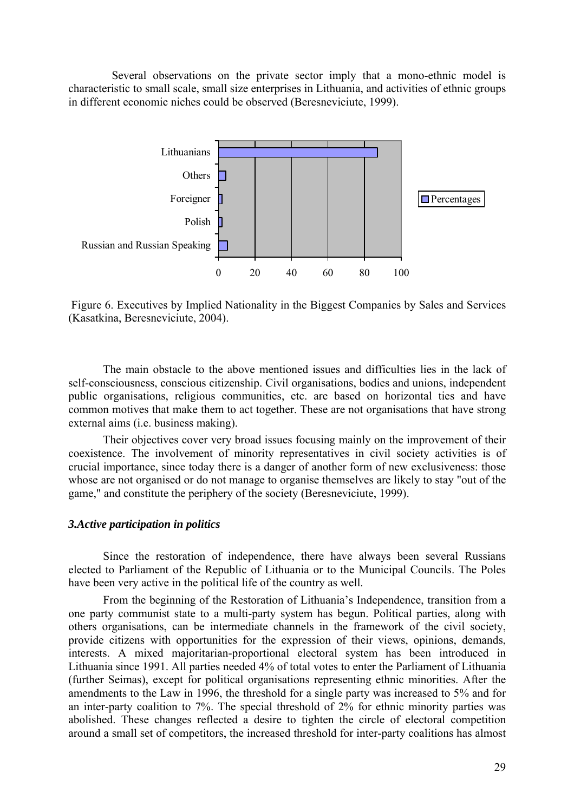Several observations on the private sector imply that a mono-ethnic model is characteristic to small scale, small size enterprises in Lithuania, and activities of ethnic groups in different economic niches could be observed (Beresneviciute, 1999).



 Figure 6. Executives by Implied Nationality in the Biggest Companies by Sales and Services (Kasatkina, Beresneviciute, 2004).

The main obstacle to the above mentioned issues and difficulties lies in the lack of self-consciousness, conscious citizenship. Civil organisations, bodies and unions, independent public organisations, religious communities, etc. are based on horizontal ties and have common motives that make them to act together. These are not organisations that have strong external aims (i.e. business making).

Their objectives cover very broad issues focusing mainly on the improvement of their coexistence. The involvement of minority representatives in civil society activities is of crucial importance, since today there is a danger of another form of new exclusiveness: those whose are not organised or do not manage to organise themselves are likely to stay "out of the game," and constitute the periphery of the society (Beresneviciute, 1999).

#### *3.Active participation in politics*

Since the restoration of independence, there have always been several Russians elected to Parliament of the Republic of Lithuania or to the Municipal Councils. The Poles have been very active in the political life of the country as well.

From the beginning of the Restoration of Lithuania's Independence, transition from a one party communist state to a multi-party system has begun. Political parties, along with others organisations, can be intermediate channels in the framework of the civil society, provide citizens with opportunities for the expression of their views, opinions, demands, interests. A mixed majoritarian-proportional electoral system has been introduced in Lithuania since 1991. All parties needed 4% of total votes to enter the Parliament of Lithuania (further Seimas), except for political organisations representing ethnic minorities. After the amendments to the Law in 1996, the threshold for a single party was increased to 5% and for an inter-party coalition to 7%. The special threshold of 2% for ethnic minority parties was abolished. These changes reflected a desire to tighten the circle of electoral competition around a small set of competitors, the increased threshold for inter-party coalitions has almost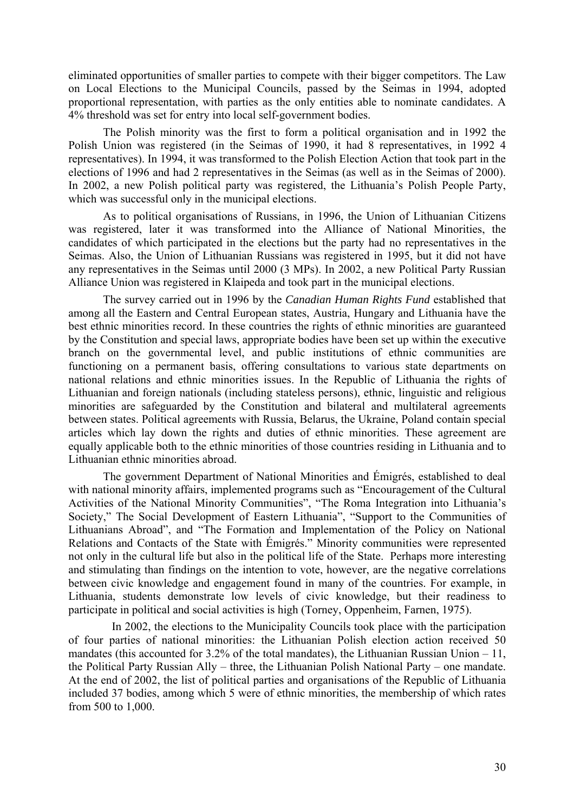eliminated opportunities of smaller parties to compete with their bigger competitors. The Law on Local Elections to the Municipal Councils, passed by the Seimas in 1994, adopted proportional representation, with parties as the only entities able to nominate candidates. A 4% threshold was set for entry into local self-government bodies.

The Polish minority was the first to form a political organisation and in 1992 the Polish Union was registered (in the Seimas of 1990, it had 8 representatives, in 1992 4 representatives). In 1994, it was transformed to the Polish Election Action that took part in the elections of 1996 and had 2 representatives in the Seimas (as well as in the Seimas of 2000). In 2002, a new Polish political party was registered, the Lithuania's Polish People Party, which was successful only in the municipal elections.

As to political organisations of Russians, in 1996, the Union of Lithuanian Citizens was registered, later it was transformed into the Alliance of National Minorities, the candidates of which participated in the elections but the party had no representatives in the Seimas. Also, the Union of Lithuanian Russians was registered in 1995, but it did not have any representatives in the Seimas until 2000 (3 MPs). In 2002, a new Political Party Russian Alliance Union was registered in Klaipeda and took part in the municipal elections.

The survey carried out in 1996 by the *Canadian Human Rights Fund* established that among all the Eastern and Central European states, Austria, Hungary and Lithuania have the best ethnic minorities record. In these countries the rights of ethnic minorities are guaranteed by the Constitution and special laws, appropriate bodies have been set up within the executive branch on the governmental level, and public institutions of ethnic communities are functioning on a permanent basis, offering consultations to various state departments on national relations and ethnic minorities issues. In the Republic of Lithuania the rights of Lithuanian and foreign nationals (including stateless persons), ethnic, linguistic and religious minorities are safeguarded by the Constitution and bilateral and multilateral agreements between states. Political agreements with Russia, Belarus, the Ukraine, Poland contain special articles which lay down the rights and duties of ethnic minorities. These agreement are equally applicable both to the ethnic minorities of those countries residing in Lithuania and to Lithuanian ethnic minorities abroad.

The government Department of National Minorities and Émigrés, established to deal with national minority affairs, implemented programs such as "Encouragement of the Cultural Activities of the National Minority Communities", "The Roma Integration into Lithuania's Society," The Social Development of Eastern Lithuania", "Support to the Communities of Lithuanians Abroad", and "The Formation and Implementation of the Policy on National Relations and Contacts of the State with Émigrés." Minority communities were represented not only in the cultural life but also in the political life of the State. Perhaps more interesting and stimulating than findings on the intention to vote, however, are the negative correlations between civic knowledge and engagement found in many of the countries. For example, in Lithuania, students demonstrate low levels of civic knowledge, but their readiness to participate in political and social activities is high (Torney, Oppenheim, Farnen, 1975).

In 2002, the elections to the Municipality Councils took place with the participation of four parties of national minorities: the Lithuanian Polish election action received 50 mandates (this accounted for  $3.2\%$  of the total mandates), the Lithuanian Russian Union – 11, the Political Party Russian Ally – three, the Lithuanian Polish National Party – one mandate. At the end of 2002, the list of political parties and organisations of the Republic of Lithuania included 37 bodies, among which 5 were of ethnic minorities, the membership of which rates from 500 to 1,000.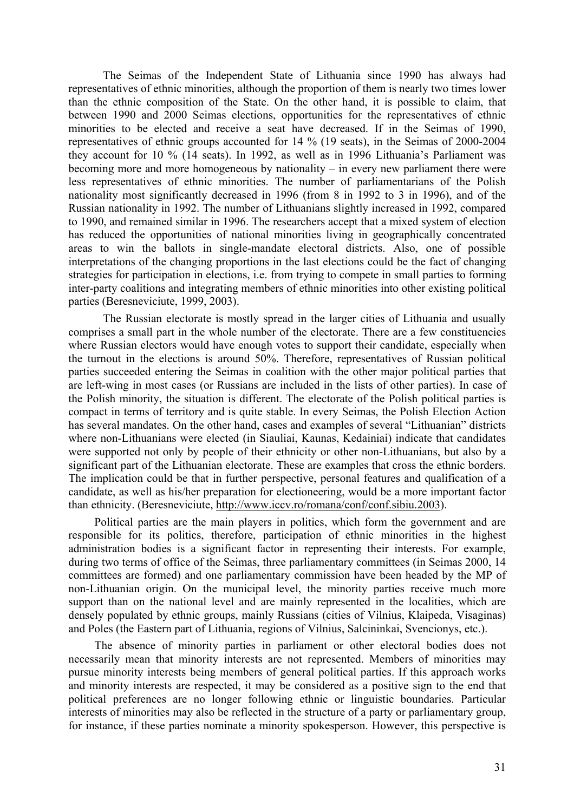The Seimas of the Independent State of Lithuania since 1990 has always had representatives of ethnic minorities, although the proportion of them is nearly two times lower than the ethnic composition of the State. On the other hand, it is possible to claim, that between 1990 and 2000 Seimas elections, opportunities for the representatives of ethnic minorities to be elected and receive a seat have decreased. If in the Seimas of 1990, representatives of ethnic groups accounted for 14 % (19 seats), in the Seimas of 2000-2004 they account for 10 % (14 seats). In 1992, as well as in 1996 Lithuania's Parliament was becoming more and more homogeneous by nationality – in every new parliament there were less representatives of ethnic minorities. The number of parliamentarians of the Polish nationality most significantly decreased in 1996 (from 8 in 1992 to 3 in 1996), and of the Russian nationality in 1992. The number of Lithuanians slightly increased in 1992, compared to 1990, and remained similar in 1996. The researchers accept that a mixed system of election has reduced the opportunities of national minorities living in geographically concentrated areas to win the ballots in single-mandate electoral districts. Also, one of possible interpretations of the changing proportions in the last elections could be the fact of changing strategies for participation in elections, i.e. from trying to compete in small parties to forming inter-party coalitions and integrating members of ethnic minorities into other existing political parties (Beresneviciute, 1999, 2003).

The Russian electorate is mostly spread in the larger cities of Lithuania and usually comprises a small part in the whole number of the electorate. There are a few constituencies where Russian electors would have enough votes to support their candidate, especially when the turnout in the elections is around 50%. Therefore, representatives of Russian political parties succeeded entering the Seimas in coalition with the other major political parties that are left-wing in most cases (or Russians are included in the lists of other parties). In case of the Polish minority, the situation is different. The electorate of the Polish political parties is compact in terms of territory and is quite stable. In every Seimas, the Polish Election Action has several mandates. On the other hand, cases and examples of several "Lithuanian" districts where non-Lithuanians were elected (in Siauliai, Kaunas, Kedainiai) indicate that candidates were supported not only by people of their ethnicity or other non-Lithuanians, but also by a significant part of the Lithuanian electorate. These are examples that cross the ethnic borders. The implication could be that in further perspective, personal features and qualification of a candidate, as well as his/her preparation for electioneering, would be a more important factor than ethnicity. (Beresneviciute, <http://www.iccv.ro/romana/conf/conf.sibiu.2003>).

Political parties are the main players in politics, which form the government and are responsible for its politics, therefore, participation of ethnic minorities in the highest administration bodies is a significant factor in representing their interests. For example, during two terms of office of the Seimas, three parliamentary committees (in Seimas 2000, 14 committees are formed) and one parliamentary commission have been headed by the MP of non-Lithuanian origin. On the municipal level, the minority parties receive much more support than on the national level and are mainly represented in the localities, which are densely populated by ethnic groups, mainly Russians (cities of Vilnius, Klaipeda, Visaginas) and Poles (the Eastern part of Lithuania, regions of Vilnius, Salcininkai, Svencionys, etc.).

The absence of minority parties in parliament or other electoral bodies does not necessarily mean that minority interests are not represented. Members of minorities may pursue minority interests being members of general political parties. If this approach works and minority interests are respected, it may be considered as a positive sign to the end that political preferences are no longer following ethnic or linguistic boundaries. Particular interests of minorities may also be reflected in the structure of a party or parliamentary group, for instance, if these parties nominate a minority spokesperson. However, this perspective is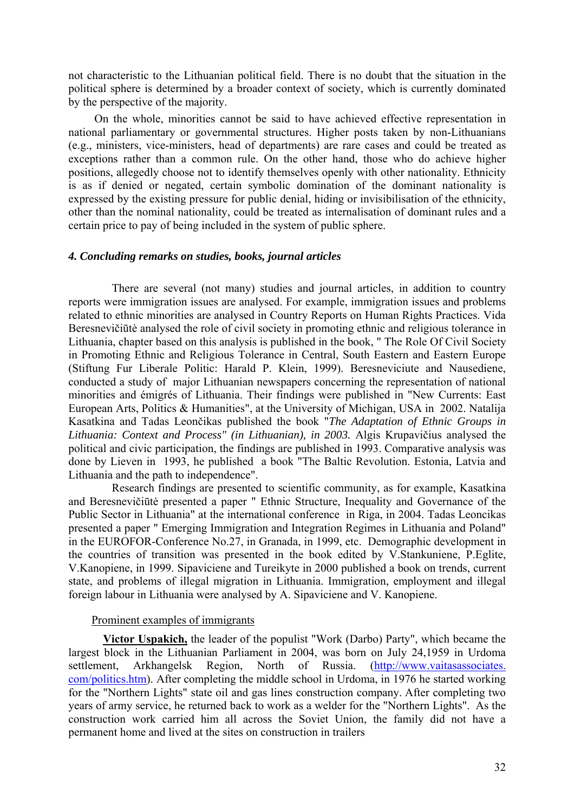not characteristic to the Lithuanian political field. There is no doubt that the situation in the political sphere is determined by a broader context of society, which is currently dominated by the perspective of the majority.

On the whole, minorities cannot be said to have achieved effective representation in national parliamentary or governmental structures. Higher posts taken by non-Lithuanians (e.g., ministers, vice-ministers, head of departments) are rare cases and could be treated as exceptions rather than a common rule. On the other hand, those who do achieve higher positions, allegedly choose not to identify themselves openly with other nationality. Ethnicity is as if denied or negated, certain symbolic domination of the dominant nationality is expressed by the existing pressure for public denial, hiding or invisibilisation of the ethnicity, other than the nominal nationality, could be treated as internalisation of dominant rules and a certain price to pay of being included in the system of public sphere.

#### *4. Concluding remarks on studies, books, journal articles*

There are several (not many) studies and journal articles, in addition to country reports were immigration issues are analysed. For example, immigration issues and problems related to ethnic minorities are analysed in Country Reports on Human Rights Practices. Vida Beresnevičiūtė analysed the role of civil society in promoting ethnic and religious tolerance in Lithuania, chapter based on this analysis is published in the book, " The Role Of Civil Society in Promoting Ethnic and Religious Tolerance in Central, South Eastern and Eastern Europe (Stiftung Fur Liberale Politic: Harald P. Klein, 1999). Beresneviciute and Nausediene, conducted a study of major Lithuanian newspapers concerning the representation of national minorities and émigrés of Lithuania. Their findings were published in "New Currents: East European Arts, Politics & Humanities", at the University of Michigan, USA in 2002. Natalija Kasatkina and Tadas Leončikas published the book "*The Adaptation of Ethnic Groups in Lithuania: Context and Process" (in Lithuanian), in 2003.* Algis Krupavičius analysed the political and civic participation, the findings are published in 1993. Comparative analysis was done by Lieven in 1993, he published a book "The Baltic Revolution. Estonia, Latvia and Lithuania and the path to independence".

Research findings are presented to scientific community, as for example, Kasatkina and Beresnevičiūtė presented a paper " Ethnic Structure, Inequality and Governance of the Public Sector in Lithuania" at the international conference in Riga, in 2004. Tadas Leoncikas presented a paper " Emerging Immigration and Integration Regimes in Lithuania and Poland" in the EUROFOR-Conference No.27, in Granada, in 1999, etc. Demographic development in the countries of transition was presented in the book edited by V.Stankuniene, P.Eglite, V.Kanopiene, in 1999. Sipaviciene and Tureikyte in 2000 published a book on trends, current state, and problems of illegal migration in Lithuania. Immigration, employment and illegal foreign labour in Lithuania were analysed by A. Sipaviciene and V. Kanopiene.

#### Prominent examples of immigrants

**Victor Uspakich,** the leader of the populist "Work (Darbo) Party", which became the largest block in the Lithuanian Parliament in 2004, was born on July 24,1959 in Urdoma settlement, Arkhangelsk Region, North of Russia. ([http://www.vaitasassociates.](http://www.vaitasassociates) com/politics.htm). After completing the middle school in Urdoma, in 1976 he started working for the "Northern Lights" state oil and gas lines construction company. After completing two years of army service, he returned back to work as a welder for the "Northern Lights". As the construction work carried him all across the Soviet Union, the family did not have a permanent home and lived at the sites on construction in trailers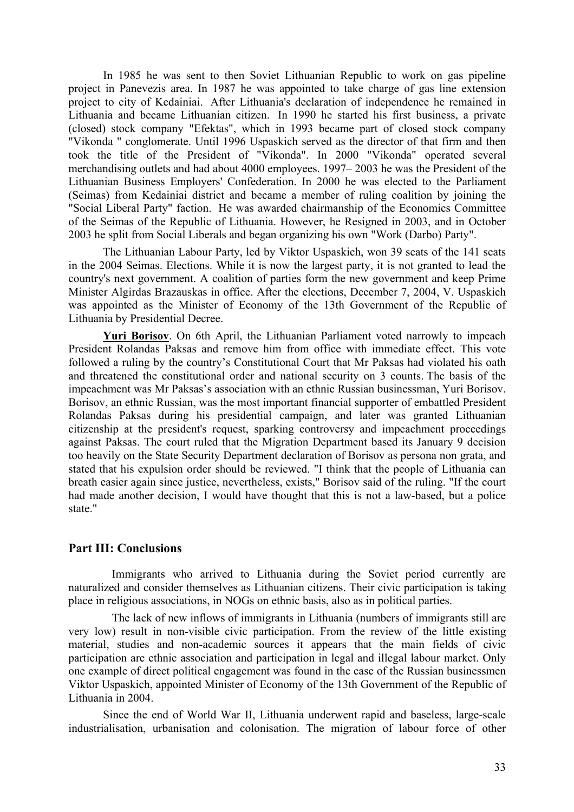In 1985 he was sent to then Soviet Lithuanian Republic to work on gas pipeline project in Panevezis area. In 1987 he was appointed to take charge of gas line extension project to city of Kedainiai. After Lithuania's declaration of independence he remained in Lithuania and became Lithuanian citizen. In 1990 he started his first business, a private (closed) stock company "Efektas", which in 1993 became part of closed stock company "Vikonda " conglomerate. Until 1996 Uspaskich served as the director of that firm and then took the title of the President of "Vikonda". In 2000 "Vikonda" operated several merchandising outlets and had about 4000 employees. 1997– 2003 he was the President of the Lithuanian Business Employers' Confederation. In 2000 he was elected to the Parliament (Seimas) from Kedainiai district and became a member of ruling coalition by joining the "Social Liberal Party" faction. He was awarded chairmanship of the Economics Committee of the Seimas of the Republic of Lithuania. However, he Resigned in 2003, and in October 2003 he split from Social Liberals and began organizing his own "Work (Darbo) Party".

The Lithuanian Labour Party, led by Viktor Uspaskich, won 39 seats of the 141 seats in the 2004 Seimas. Elections. While it is now the largest party, it is not granted to lead the country's next government. A coalition of parties form the new government and keep Prime Minister Algirdas Brazauskas in office. After the elections, December 7, 2004, V. Uspaskich was appointed as the Minister of Economy of the 13th Government of the Republic of Lithuania by Presidential Decree.

**Yuri Borisov**. On 6th April, the Lithuanian Parliament voted narrowly to impeach President Rolandas Paksas and remove him from office with immediate effect. This vote followed a ruling by the country's Constitutional Court that Mr Paksas had violated his oath and threatened the constitutional order and national security on 3 counts. The basis of the impeachment was Mr Paksas's association with an ethnic Russian businessman, Yuri Borisov. Borisov, an ethnic Russian, was the most important financial supporter of embattled President Rolandas Paksas during his presidential campaign, and later was granted Lithuanian citizenship at the president's request, sparking controversy and impeachment proceedings against Paksas. The court ruled that the Migration Department based its January 9 decision too heavily on the State Security Department declaration of Borisov as persona non grata, and stated that his expulsion order should be reviewed. "I think that the people of Lithuania can breath easier again since justice, nevertheless, exists," Borisov said of the ruling. "If the court had made another decision, I would have thought that this is not a law-based, but a police state."

# **Part III: Conclusions**

Immigrants who arrived to Lithuania during the Soviet period currently are naturalized and consider themselves as Lithuanian citizens. Their civic participation is taking place in religious associations, in NOGs on ethnic basis, also as in political parties.

The lack of new inflows of immigrants in Lithuania (numbers of immigrants still are very low) result in non-visible civic participation. From the review of the little existing material, studies and non-academic sources it appears that the main fields of civic participation are ethnic association and participation in legal and illegal labour market. Only one example of direct political engagement was found in the case of the Russian businessmen Viktor Uspaskich, appointed Minister of Economy of the 13th Government of the Republic of Lithuania in 2004.

Since the end of World War II, Lithuania underwent rapid and baseless, large-scale industrialisation, urbanisation and colonisation. The migration of labour force of other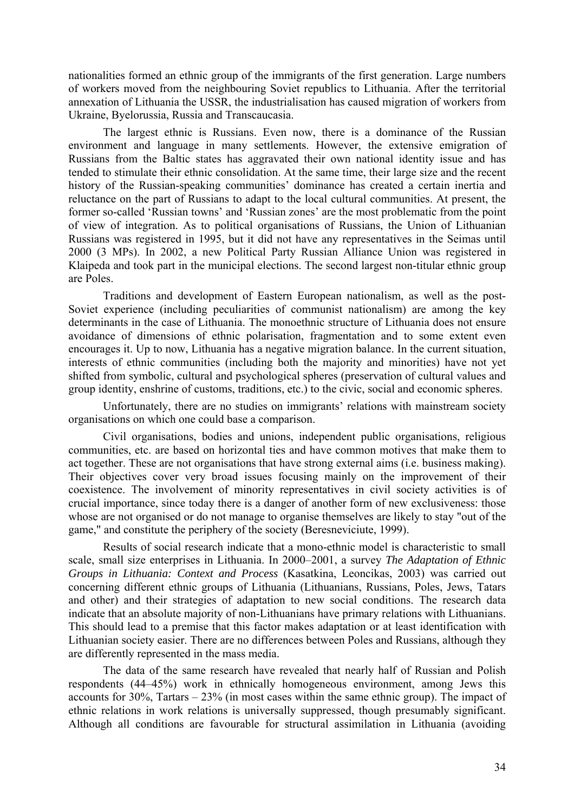nationalities formed an ethnic group of the immigrants of the first generation. Large numbers of workers moved from the neighbouring Soviet republics to Lithuania. After the territorial annexation of Lithuania the USSR, the industrialisation has caused migration of workers from Ukraine, Byelorussia, Russia and Transcaucasia.

The largest ethnic is Russians. Even now, there is a dominance of the Russian environment and language in many settlements. However, the extensive emigration of Russians from the Baltic states has aggravated their own national identity issue and has tended to stimulate their ethnic consolidation. At the same time, their large size and the recent history of the Russian-speaking communities' dominance has created a certain inertia and reluctance on the part of Russians to adapt to the local cultural communities. At present, the former so-called 'Russian towns' and 'Russian zones' are the most problematic from the point of view of integration. As to political organisations of Russians, the Union of Lithuanian Russians was registered in 1995, but it did not have any representatives in the Seimas until 2000 (3 MPs). In 2002, a new Political Party Russian Alliance Union was registered in Klaipeda and took part in the municipal elections. The second largest non-titular ethnic group are Poles.

Traditions and development of Eastern European nationalism, as well as the post-Soviet experience (including peculiarities of communist nationalism) are among the key determinants in the case of Lithuania. The monoethnic structure of Lithuania does not ensure avoidance of dimensions of ethnic polarisation, fragmentation and to some extent even encourages it. Up to now, Lithuania has a negative migration balance. In the current situation, interests of ethnic communities (including both the majority and minorities) have not yet shifted from symbolic, cultural and psychological spheres (preservation of cultural values and group identity, enshrine of customs, traditions, etc.) to the civic, social and economic spheres.

Unfortunately, there are no studies on immigrants' relations with mainstream society organisations on which one could base a comparison.

Civil organisations, bodies and unions, independent public organisations, religious communities, etc. are based on horizontal ties and have common motives that make them to act together. These are not organisations that have strong external aims (i.e. business making). Their objectives cover very broad issues focusing mainly on the improvement of their coexistence. The involvement of minority representatives in civil society activities is of crucial importance, since today there is a danger of another form of new exclusiveness: those whose are not organised or do not manage to organise themselves are likely to stay "out of the game," and constitute the periphery of the society (Beresneviciute, 1999).

Results of social research indicate that a mono-ethnic model is characteristic to small scale, small size enterprises in Lithuania. In 2000–2001, a survey *The Adaptation of Ethnic Groups in Lithuania: Context and Process* (Kasatkina, Leoncikas, 2003) was carried out concerning different ethnic groups of Lithuania (Lithuanians, Russians, Poles, Jews, Tatars and other) and their strategies of adaptation to new social conditions. The research data indicate that an absolute majority of non-Lithuanians have primary relations with Lithuanians. This should lead to a premise that this factor makes adaptation or at least identification with Lithuanian society easier. There are no differences between Poles and Russians, although they are differently represented in the mass media.

The data of the same research have revealed that nearly half of Russian and Polish respondents (44–45%) work in ethnically homogeneous environment, among Jews this accounts for  $30\%$ , Tartars  $-23\%$  (in most cases within the same ethnic group). The impact of ethnic relations in work relations is universally suppressed, though presumably significant. Although all conditions are favourable for structural assimilation in Lithuania (avoiding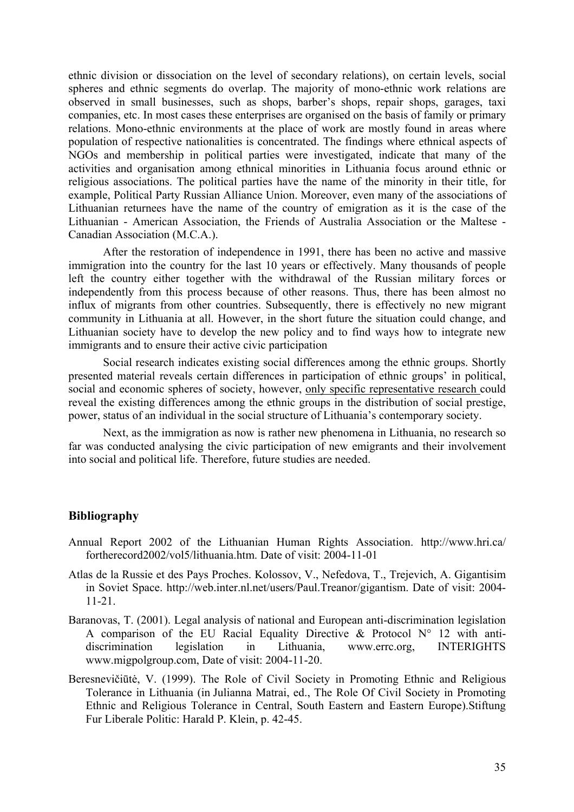ethnic division or dissociation on the level of secondary relations), on certain levels, social spheres and ethnic segments do overlap. The majority of mono-ethnic work relations are observed in small businesses, such as shops, barber's shops, repair shops, garages, taxi companies, etc. In most cases these enterprises are organised on the basis of family or primary relations. Mono-ethnic environments at the place of work are mostly found in areas where population of respective nationalities is concentrated. The findings where ethnical aspects of NGOs and membership in political parties were investigated, indicate that many of the activities and organisation among ethnical minorities in Lithuania focus around ethnic or religious associations. The political parties have the name of the minority in their title, for example, Political Party Russian Alliance Union. Moreover, even many of the associations of Lithuanian returnees have the name of the country of emigration as it is the case of the Lithuanian - American Association, the Friends of Australia Association or the Maltese - Canadian Association (M.C.A.).

After the restoration of independence in 1991, there has been no active and massive immigration into the country for the last 10 years or effectively. Many thousands of people left the country either together with the withdrawal of the Russian military forces or independently from this process because of other reasons. Thus, there has been almost no influx of migrants from other countries. Subsequently, there is effectively no new migrant community in Lithuania at all. However, in the short future the situation could change, and Lithuanian society have to develop the new policy and to find ways how to integrate new immigrants and to ensure their active civic participation

Social research indicates existing social differences among the ethnic groups. Shortly presented material reveals certain differences in participation of ethnic groups' in political, social and economic spheres of society, however, only specific representative research could reveal the existing differences among the ethnic groups in the distribution of social prestige, power, status of an individual in the social structure of Lithuania's contemporary society.

Next, as the immigration as now is rather new phenomena in Lithuania, no research so far was conducted analysing the civic participation of new emigrants and their involvement into social and political life. Therefore, future studies are needed.

# **Bibliography**

- Annual Report 2002 of the Lithuanian Human Rights Association. <http://www.hri.ca/> fortherecord2002/vol5/lithuania.htm. Date of visit: 2004-11-01
- Atlas de la Russie et des Pays Proches. Kolossov, V., Nefedova, T., Trejevich, A. Gigantisim in Soviet Space. [http://web.inter.nl.net/users/Paul.Treanor/gigantism.](http://web.inter.nl.net/users/Paul.Treanor/gigantism) Date of visit: 2004- 11-21.
- Baranovas, T. (2001). Legal analysis of national and European anti-discrimination legislation A comparison of the EU Racial Equality Directive  $\&$  Protocol N° 12 with antidiscrimination legislation in Lithuania, www.errc.org, INTERIGHTS www.migpolgroup.com, Date of visit: 2004-11-20.
- Beresnevičiūtė, V. (1999). The Role of Civil Society in Promoting Ethnic and Religious Tolerance in Lithuania (in Julianna Matrai, ed., The Role Of Civil Society in Promoting Ethnic and Religious Tolerance in Central, South Eastern and Eastern Europe).Stiftung Fur Liberale Politic: Harald P. Klein, p. 42-45.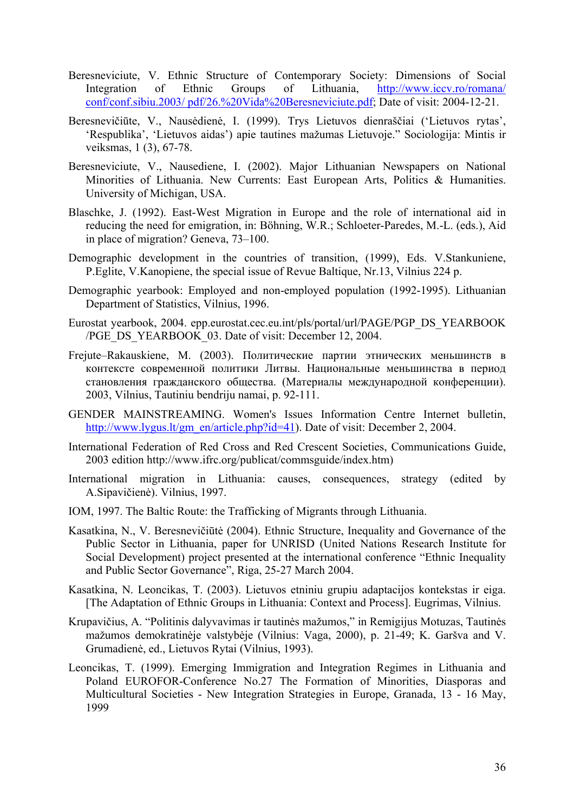- Beresneviciute, V. Ethnic Structure of Contemporary Society: Dimensions of Social Integration of Ethnic Groups of Lithuania, <http://www.iccv.ro/romana/> conf/conf.sibiu.2003/ pdf/26.%20Vida%20Beresneviciute.pdf; Date of visit: 2004-12-21.
- Beresnevičiūte, V., Nausėdienė, I. (1999). Trys Lietuvos dienraščiai ('Lietuvos rytas', 'Respublika', 'Lietuvos aidas') apie tautines mažumas Lietuvoje." Sociologija: Mintis ir veiksmas, 1 (3), 67-78.
- Beresneviciute, V., Nausediene, I. (2002). Major Lithuanian Newspapers on National Minorities of Lithuania. New Currents: East European Arts, Politics & Humanities. University of Michigan, USA.
- Blaschke, J. (1992). East-West Migration in Europe and the role of international aid in reducing the need for emigration, in: Böhning, W.R.; Schloeter-Paredes, M.-L. (eds.), Aid in place of migration? Geneva, 73–100.
- Demographic development in the countries of transition, (1999), Eds. V.Stankuniene, P.Eglite, V.Kanopiene, the special issue of Revue Baltique, Nr.13, Vilnius 224 p.
- Demographic yearbook: Employed and non-employed population (1992-1995). Lithuanian Department of Statistics, Vilnius, 1996.
- Eurostat yearbook, 2004. epp.eurostat.cec.eu.int/pls/portal/url/PAGE/PGP\_DS\_YEARBOOK /PGE\_DS\_YEARBOOK\_03. Date of visit: December 12, 2004.
- Frejute–Rakauskiene, M. (2003). Политические партии этнических меньшинств в контексте современной политики Литвы. Национaльные меньшинства в период становления гражданского общества. (Материалы международной конференции). 2003, Vilnius, Tautiniu bendriju namai, p. 92-111.
- GENDER MAINSTREAMING. Women's Issues Information Centre Internet bulletin, [http://www.lygus.lt/gm\\_en/article.php?id=41](http://www.lygus.lt/gm_en/article.php?id=41)). Date of visit: December 2, 2004.
- International Federation of Red Cross and Red Crescent Societies, Communications Guide, 2003 edition [http://www.ifrc.org/publicat/commsguide/index.htm\)](http://www.ifrc.org/publicat/commsguide/index.htm)
- International migration in Lithuania: causes, consequences, strategy (edited by A.Sipavičienė). Vilnius, 1997.
- IOM, 1997. The Baltic Route: the Trafficking of Migrants through Lithuania.
- Kasatkina, N., V. Beresnevičiūtė (2004). Ethnic Structure, Inequality and Governance of the Public Sector in Lithuania, paper for UNRISD (United Nations Research Institute for Social Development) project presented at the international conference "Ethnic Inequality and Public Sector Governance", Riga, 25-27 March 2004.
- Kasatkina, N. Leoncikas, T. (2003). Lietuvos etniniu grupiu adaptacijos kontekstas ir eiga. [The Adaptation of Ethnic Groups in Lithuania: Context and Process]. Eugrimas, Vilnius.
- Krupavičius, A. "Politinis dalyvavimas ir tautinės mažumos," in Remigijus Motuzas, Tautinės mažumos demokratinėje valstybėje (Vilnius: Vaga, 2000), p. 21-49; K. Garšva and V. Grumadienė, ed., Lietuvos Rytai (Vilnius, 1993).
- Leoncikas, T. (1999). Emerging Immigration and Integration Regimes in Lithuania and Poland EUROFOR-Conference No.27 The Formation of Minorities, Diasporas and Multicultural Societies - New Integration Strategies in Europe, Granada, 13 - 16 May, 1999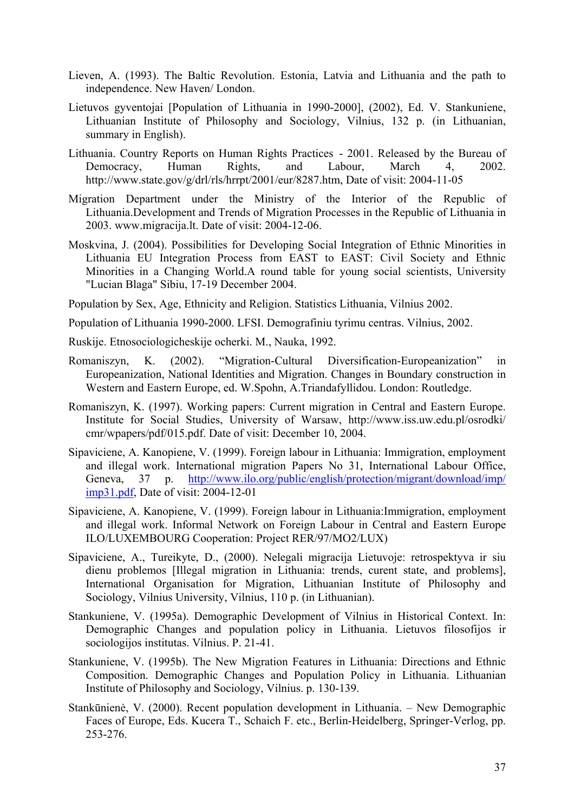- Lieven, A. (1993). The Baltic Revolution. Estonia, Latvia and Lithuania and the path to independence. New Haven/ London.
- Lietuvos gyventojai [Population of Lithuania in 1990-2000], (2002), Ed. V. Stankuniene, Lithuanian Institute of Philosophy and Sociology, Vilnius, 132 p. (in Lithuanian, summary in English).
- Lithuania. Country Reports on Human Rights Practices 2001. Released by the Bureau of Democracy, Human Rights, and Labour, March 4, 2002. [http://www.state.gov/g/drl/rls/hrrpt/2001/eur/8287.htm,](http://www.state.gov/g/drl/rls/hrrpt/2001/eur/8287.htm) Date of visit: 2004-11-05
- Migration Department under the Ministry of the Interior of the Republic of Lithuania.Development and Trends of Migration Processes in the Republic of Lithuania in 2003. www.migracija.lt. Date of visit: 2004-12-06.
- Moskvina, J. (2004). Possibilities for Developing Social Integration of Ethnic Minorities in Lithuania EU Integration Process from EAST to EAST: Civil Society and Ethnic Minorities in a Changing World.A round table for young social scientists, University "Lucian Blaga" Sibiu, 17-19 December 2004.

Population by Sex, Age, Ethnicity and Religion. Statistics Lithuania, Vilnius 2002.

- Population of Lithuania 1990-2000. LFSI. Demografiniu tyrimu centras. Vilnius, 2002.
- Ruskije. Etnosociologicheskije ocherki. M., Nauka, 1992.
- Romaniszyn, K. (2002). "Migration-Cultural Diversification-Europeanization" in Europeanization, National Identities and Migration. Changes in Boundary construction in Western and Eastern Europe, ed. W.Spohn, A.Triandafyllidou. London: Routledge.
- Romaniszyn, K. (1997). Working papers: Current migration in Central and Eastern Europe. Institute for Social Studies, University of Warsaw, <http://www.iss.uw.edu.pl/osrodki/> cmr/wpapers/pdf/015.pdf. Date of visit: December 10, 2004.
- Sipaviciene, A. Kanopiene, V. (1999). Foreign labour in Lithuania: Immigration, employment and illegal work. International migration Papers No 31, International Labour Office, Geneva, 37 p. <http://www.ilo.org/public/english/protection/migrant/download/imp/> imp31.pdf, Date of visit: 2004-12-01
- Sipaviciene, A. Kanopiene, V. (1999). Foreign labour in Lithuania:Immigration, employment and illegal work. Informal Network on Foreign Labour in Central and Eastern Europe ILO/LUXEMBOURG Cooperation: Project RER/97/MO2/LUX)
- Sipaviciene, A., Tureikyte, D., (2000). Nelegali migracija Lietuvoje: retrospektyva ir siu dienu problemos [Illegal migration in Lithuania: trends, curent state, and problems], International Organisation for Migration, Lithuanian Institute of Philosophy and Sociology, Vilnius University, Vilnius, 110 p. (in Lithuanian).
- Stankuniene, V. (1995a). Demographic Development of Vilnius in Historical Context. In: Demographic Changes and population policy in Lithuania. Lietuvos filosofijos ir sociologijos institutas. Vilnius. P. 21-41.
- Stankuniene, V. (1995b). The New Migration Features in Lithuania: Directions and Ethnic Composition. Demographic Changes and Population Policy in Lithuania. Lithuanian Institute of Philosophy and Sociology, Vilnius. p. 130-139.
- Stankūnienė, V. (2000). Recent population development in Lithuania. New Demographic Faces of Europe, Eds. Kucera T., Schaich F. etc., Berlin-Heidelberg, Springer-Verlog, pp. 253-276.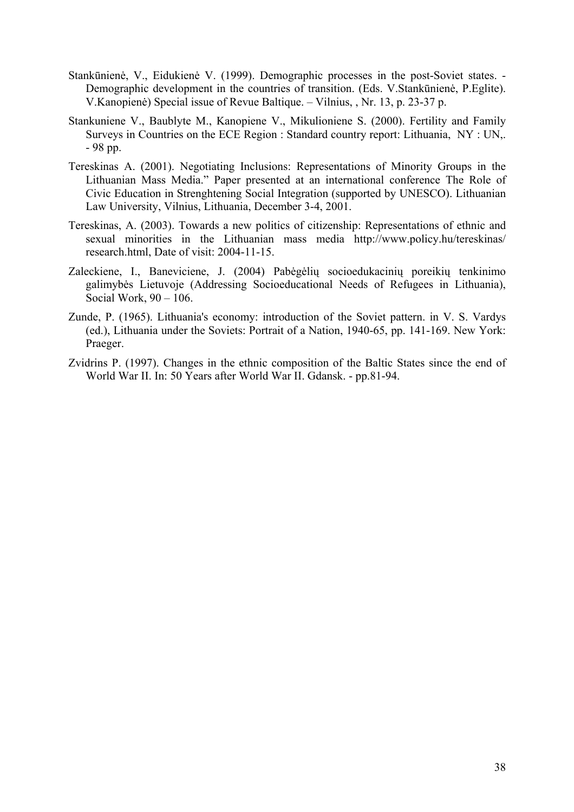- Stankūnienė, V., Eidukienė V. (1999). Demographic processes in the post-Soviet states. Demographic development in the countries of transition. (Eds. V.Stankūnienė, P.Eglite). V.Kanopienė) Special issue of Revue Baltique. – Vilnius, , Nr. 13, p. 23-37 p.
- Stankuniene V., Baublyte M., Kanopiene V., Mikulioniene S. (2000). Fertility and Family Surveys in Countries on the ECE Region : Standard country report: Lithuania, NY : UN,. - 98 pp.
- Tereskinas A. (2001). Negotiating Inclusions: Representations of Minority Groups in the Lithuanian Mass Media." Paper presented at an international conference The Role of Civic Education in Strenghtening Social Integration (supported by UNESCO). Lithuanian Law University, Vilnius, Lithuania, December 3-4, 2001.
- Tereskinas, A. (2003). Towards a new politics of citizenship: Representations of ethnic and sexual minorities in the Lithuanian mass media <http://www.policy.hu/tereskinas/> research.html, Date of visit: 2004-11-15.
- Zaleckiene, I., Baneviciene, J. (2004) Pabėgėlių socioedukacinių poreikių tenkinimo galimybės Lietuvoje (Addressing Socioeducational Needs of Refugees in Lithuania), Social Work,  $90 - 106$ .
- Zunde, P. (1965). Lithuania's economy: introduction of the Soviet pattern. in V. S. Vardys (ed.), Lithuania under the Soviets: Portrait of a Nation, 1940-65, pp. 141-169. New York: Praeger.
- Zvidrins P. (1997). Changes in the ethnic composition of the Baltic States since the end of World War II. In: 50 Years after World War II. Gdansk. - pp.81-94.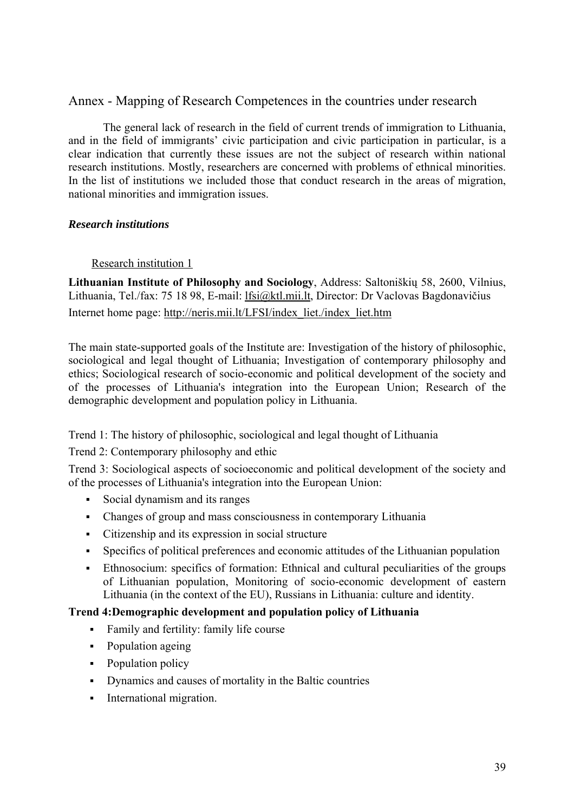# Annex - Mapping of Research Competences in the countries under research

The general lack of research in the field of current trends of immigration to Lithuania, and in the field of immigrants' civic participation and civic participation in particular, is a clear indication that currently these issues are not the subject of research within national research institutions. Mostly, researchers are concerned with problems of ethnical minorities. In the list of institutions we included those that conduct research in the areas of migration, national minorities and immigration issues.

# *Research institutions*

# Research institution 1

**Lithuanian Institute of Philosophy and Sociology**, Address: Saltoniškių 58, 2600, Vilnius, Lithuania, Tel./fax: 75 18 98, E-mail: lfsi@ktl.mii.lt, Director: Dr Vaclovas Bagdonavičius

Internet home page: [http://neris.mii.lt/LFSI/index\\_liet./index\\_liet.htm](http://neris.mii.lt/LFSI/index_liet./index_liet.htm)

The main state-supported goals of the Institute are: Investigation of the history of philosophic, sociological and legal thought of Lithuania; Investigation of contemporary philosophy and ethics; Sociological research of socio-economic and political development of the society and of the processes of Lithuania's integration into the European Union; Research of the demographic development and population policy in Lithuania.

Trend 1: The history of philosophic, sociological and legal thought of Lithuania

Trend 2: Contemporary philosophy and ethic

Trend 3: Sociological aspects of socioeconomic and political development of the society and of the processes of Lithuania's integration into the European Union:

- Social dynamism and its ranges
- Changes of group and mass consciousness in contemporary Lithuania
- Citizenship and its expression in social structure
- Specifics of political preferences and economic attitudes of the Lithuanian population
- Ethnosocium: specifics of formation: Ethnical and cultural peculiarities of the groups of Lithuanian population, Monitoring of socio-economic development of eastern Lithuania (in the context of the EU), Russians in Lithuania: culture and identity.

# **Trend 4:Demographic development and population policy of Lithuania**

- Family and fertility: family life course
- Population ageing
- Population policy
- Dynamics and causes of mortality in the Baltic countries
- International migration.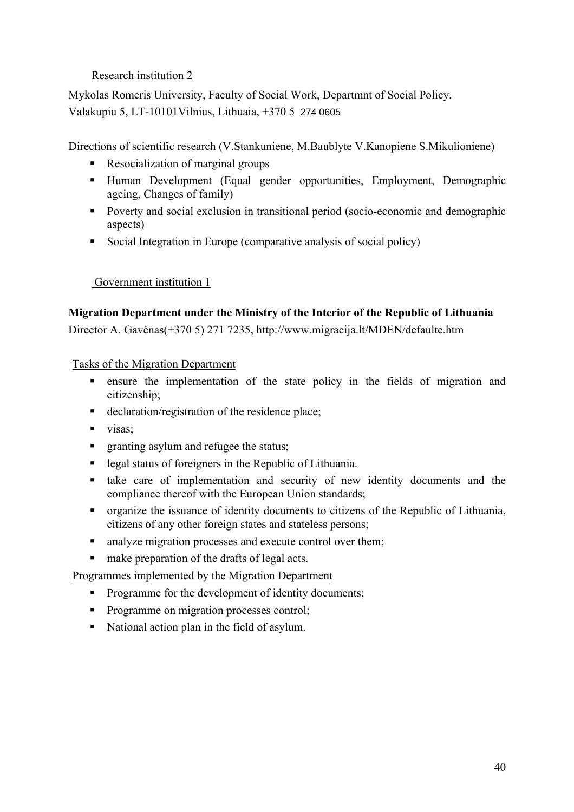# Research institution 2

Mykolas Romeris University, Faculty of Social Work, Departmnt of Social Policy. Valakupiu 5, LT-10101Vilnius, Lithuaia, +370 5 274 0605

Directions of scientific research (V.Stankuniene, M.Baublyte V.Kanopiene S.Mikulioniene)

- Resocialization of marginal groups
- Human Development (Equal gender opportunities, Employment, Demographic ageing, Changes of family)
- Poverty and social exclusion in transitional period (socio-economic and demographic aspects)
- Social Integration in Europe (comparative analysis of social policy)

# Government institution 1

# **Migration Department under the Ministry of the Interior of the Republic of Lithuania**

Director A. Gavėnas(+370 5) 271 7235, <http://www.migracija.lt/MDEN/defaulte.htm>

Tasks of the Migration Department

- ensure the implementation of the state policy in the fields of migration and citizenship;
- declaration/registration of the residence place;
- visas;
- **F** granting asylum and refugee the status;
- legal status of foreigners in the Republic of Lithuania.
- take care of implementation and security of new identity documents and the compliance thereof with the European Union standards;
- organize the issuance of identity documents to citizens of the Republic of Lithuania, citizens of any other foreign states and stateless persons;
- analyze migration processes and execute control over them;
- make preparation of the drafts of legal acts.

Programmes implemented by the Migration Department

- Programme for the development of identity documents;
- Programme on migration processes control;
- National action plan in the field of asylum.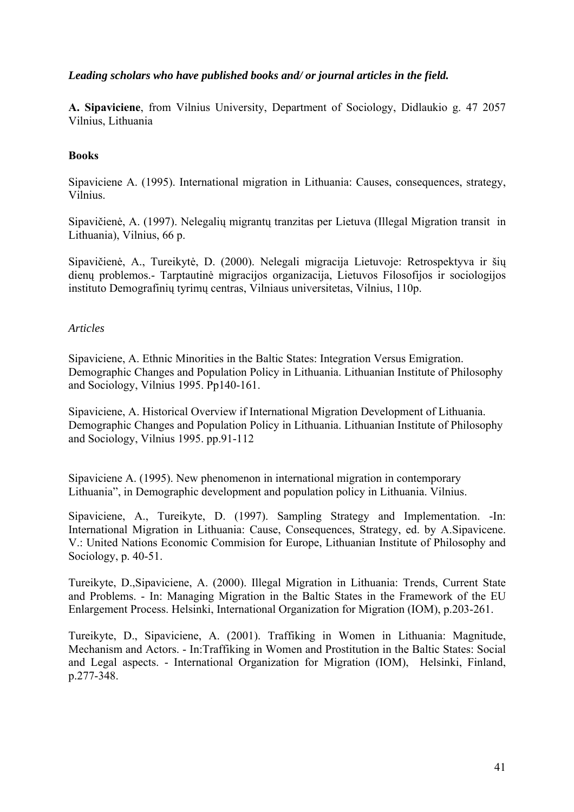# *Leading scholars who have published books and/ or journal articles in the field.*

**A. Sipaviciene**, from Vilnius University, Department of Sociology, Didlaukio g. 47 2057 Vilnius, Lithuania

### **Books**

Sipaviciene A. (1995). International migration in Lithuania: Causes, consequences, strategy, Vilnius.

Sipavičienė, A. (1997). Nelegalių migrantų tranzitas per Lietuva (Illegal Migration transit in Lithuania), Vilnius, 66 p.

Sipavičienė, A., Tureikytė, D. (2000). Nelegali migracija Lietuvoje: Retrospektyva ir šių dienų problemos.- Tarptautinė migracijos organizacija, Lietuvos Filosofijos ir sociologijos instituto Demografinių tyrimų centras, Vilniaus universitetas, Vilnius, 110p.

### *Articles*

Sipaviciene, A. Ethnic Minorities in the Baltic States: Integration Versus Emigration. Demographic Changes and Population Policy in Lithuania. Lithuanian Institute of Philosophy and Sociology, Vilnius 1995. Pp140-161.

Sipaviciene, A. Historical Overview if International Migration Development of Lithuania. Demographic Changes and Population Policy in Lithuania. Lithuanian Institute of Philosophy and Sociology, Vilnius 1995. pp.91-112

Sipaviciene A. (1995). New phenomenon in international migration in contemporary Lithuania", in Demographic development and population policy in Lithuania. Vilnius.

Sipaviciene, A., Tureikyte, D. (1997). Sampling Strategy and Implementation. -In: International Migration in Lithuania: Cause, Consequences, Strategy, ed. by A.Sipavicene. V.: United Nations Economic Commision for Europe, Lithuanian Institute of Philosophy and Sociology, p. 40-51.

Tureikyte, D.,Sipaviciene, A. (2000). Illegal Migration in Lithuania: Trends, Current State and Problems. - In: Managing Migration in the Baltic States in the Framework of the EU Enlargement Process. Helsinki, International Organization for Migration (IOM), p.203-261.

Tureikyte, D., Sipaviciene, A. (2001). Traffiking in Women in Lithuania: Magnitude, Mechanism and Actors. - In:Traffiking in Women and Prostitution in the Baltic States: Social and Legal aspects. - International Organization for Migration (IOM), Helsinki, Finland, p.277-348.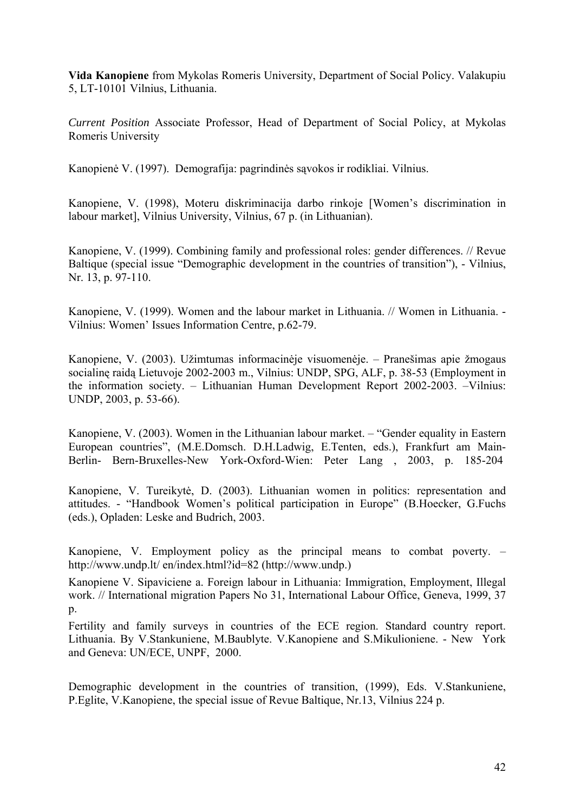**Vida Kanopiene** from Mykolas Romeris University, Department of Social Policy. Valakupiu 5, LT-10101 Vilnius, Lithuania.

*Current Position* Associate Professor, Head of Department of Social Policy, at Mykolas Romeris University

Kanopienė V. (1997). Demografija: pagrindinės sąvokos ir rodikliai. Vilnius.

Kanopiene, V. (1998), Moteru diskriminacija darbo rinkoje [Women's discrimination in labour market], Vilnius University, Vilnius, 67 p. (in Lithuanian).

Kanopiene, V. (1999). Combining family and professional roles: gender differences. // Revue Baltique (special issue "Demographic development in the countries of transition"), - Vilnius, Nr. 13, p. 97-110.

Kanopiene, V. (1999). Women and the labour market in Lithuania. // Women in Lithuania. - Vilnius: Women' Issues Information Centre, p.62-79.

Kanopiene, V. (2003). Užimtumas informacinėje visuomenėje. – Pranešimas apie žmogaus socialinę raidą Lietuvoje 2002-2003 m., Vilnius: UNDP, SPG, ALF, p. 38-53 (Employment in the information society. – Lithuanian Human Development Report 2002-2003. –Vilnius: UNDP, 2003, p. 53-66).

Kanopiene, V. (2003). Women in the Lithuanian labour market. – "Gender equality in Eastern European countries", (M.E.Domsch. D.H.Ladwig, E.Tenten, eds.), Frankfurt am Main-Berlin- Bern-Bruxelles-New York-Oxford-Wien: Peter Lang , 2003, p. 185-204

Kanopiene, V. Tureikytė, D. (2003). Lithuanian women in politics: representation and attitudes. - "Handbook Women's political participation in Europe" (B.Hoecker, G.Fuchs (eds.), Opladen: Leske and Budrich, 2003.

Kanopiene, V. Employment policy as the principal means to combat poverty. – <http://www.undp.lt/>en/index.html?id=82 [\(http://www.undp](http://www.undp).)

Kanopiene V. Sipaviciene a. Foreign labour in Lithuania: Immigration, Employment, Illegal work. // International migration Papers No 31, International Labour Office, Geneva, 1999, 37 p.

Fertility and family surveys in countries of the ECE region. Standard country report. Lithuania. By V.Stankuniene, M.Baublyte. V.Kanopiene and S.Mikulioniene. - New York and Geneva: UN/ECE, UNPF, 2000.

Demographic development in the countries of transition, (1999), Eds. V.Stankuniene, P.Eglite, V.Kanopiene, the special issue of Revue Baltique, Nr.13, Vilnius 224 p.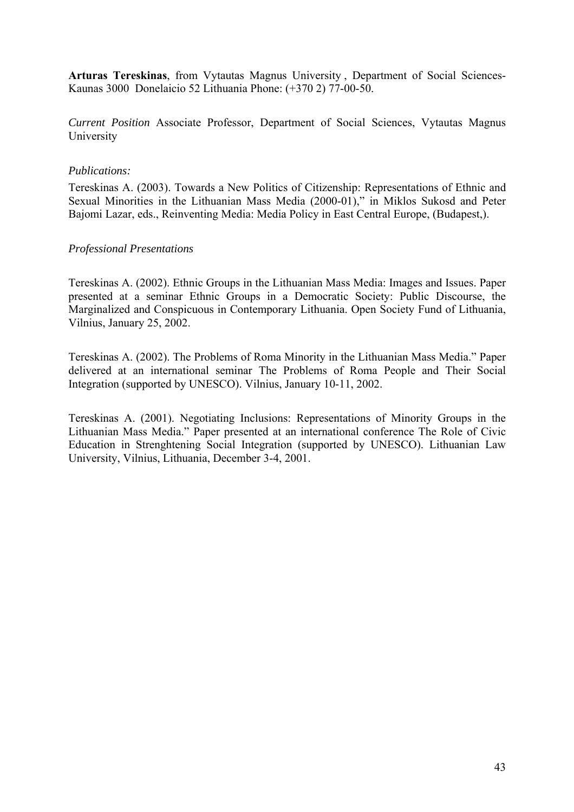**Arturas Tereskinas**, from Vytautas Magnus University , Department of Social Sciences-Kaunas 3000 Donelaicio 52 Lithuania Phone: (+370 2) 77-00-50.

*Current Position* Associate Professor, Department of Social Sciences, Vytautas Magnus University

### *Publications:*

Tereskinas A. (2003). Towards a New Politics of Citizenship: Representations of Ethnic and Sexual Minorities in the Lithuanian Mass Media (2000-01)," in Miklos Sukosd and Peter Bajomi Lazar, eds., Reinventing Media: Media Policy in East Central Europe, (Budapest,).

# *Professional Presentations*

Tereskinas A. (2002). Ethnic Groups in the Lithuanian Mass Media: Images and Issues. Paper presented at a seminar Ethnic Groups in a Democratic Society: Public Discourse, the Marginalized and Conspicuous in Contemporary Lithuania. Open Society Fund of Lithuania, Vilnius, January 25, 2002.

Tereskinas A. (2002). The Problems of Roma Minority in the Lithuanian Mass Media." Paper delivered at an international seminar The Problems of Roma People and Their Social Integration (supported by UNESCO). Vilnius, January 10-11, 2002.

Tereskinas A. (2001). Negotiating Inclusions: Representations of Minority Groups in the Lithuanian Mass Media." Paper presented at an international conference The Role of Civic Education in Strenghtening Social Integration (supported by UNESCO). Lithuanian Law University, Vilnius, Lithuania, December 3-4, 2001.